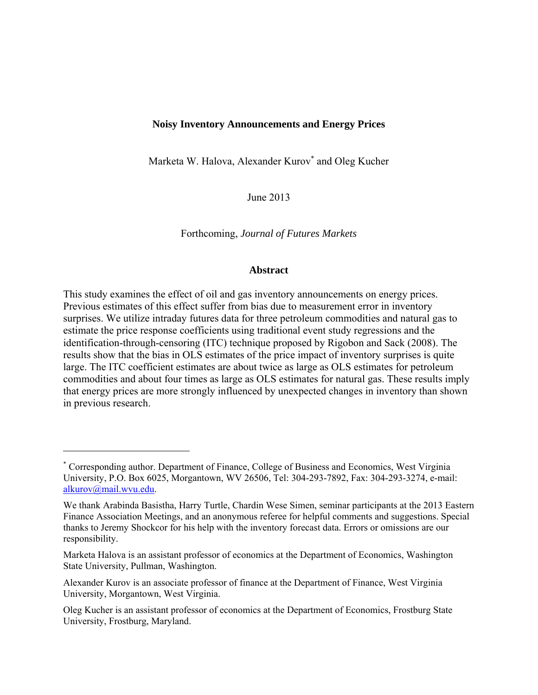# **Noisy Inventory Announcements and Energy Prices**

Marketa W. Halova, Alexander Kurov<sup>\*</sup> and Oleg Kucher

June 2013

Forthcoming, *Journal of Futures Markets* 

## **Abstract**

This study examines the effect of oil and gas inventory announcements on energy prices. Previous estimates of this effect suffer from bias due to measurement error in inventory surprises. We utilize intraday futures data for three petroleum commodities and natural gas to estimate the price response coefficients using traditional event study regressions and the identification-through-censoring (ITC) technique proposed by Rigobon and Sack (2008). The results show that the bias in OLS estimates of the price impact of inventory surprises is quite large. The ITC coefficient estimates are about twice as large as OLS estimates for petroleum commodities and about four times as large as OLS estimates for natural gas. These results imply that energy prices are more strongly influenced by unexpected changes in inventory than shown in previous research.

1

<sup>\*</sup> Corresponding author. Department of Finance, College of Business and Economics, West Virginia University, P.O. Box 6025, Morgantown, WV 26506, Tel: 304-293-7892, Fax: 304-293-3274, e-mail: alkurov@mail.wvu.edu.

We thank Arabinda Basistha, Harry Turtle, Chardin Wese Simen, seminar participants at the 2013 Eastern Finance Association Meetings, and an anonymous referee for helpful comments and suggestions. Special thanks to Jeremy Shockcor for his help with the inventory forecast data. Errors or omissions are our responsibility.

Marketa Halova is an assistant professor of economics at the Department of Economics, Washington State University, Pullman, Washington.

Alexander Kurov is an associate professor of finance at the Department of Finance, West Virginia University, Morgantown, West Virginia.

Oleg Kucher is an assistant professor of economics at the Department of Economics, Frostburg State University, Frostburg, Maryland.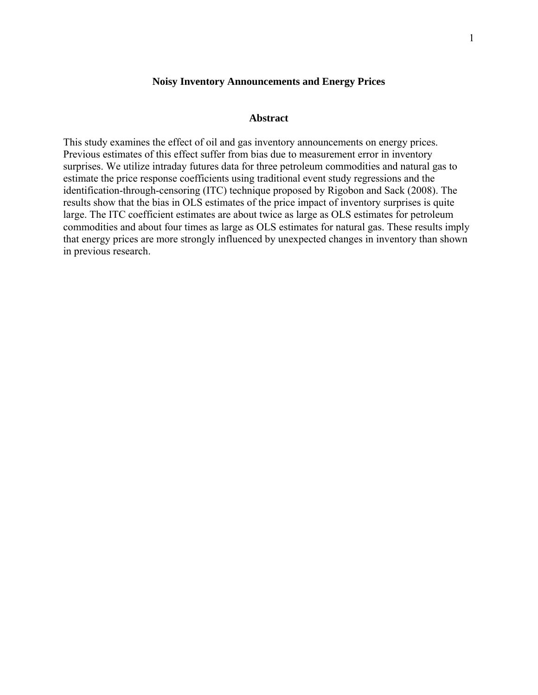## **Noisy Inventory Announcements and Energy Prices**

## **Abstract**

This study examines the effect of oil and gas inventory announcements on energy prices. Previous estimates of this effect suffer from bias due to measurement error in inventory surprises. We utilize intraday futures data for three petroleum commodities and natural gas to estimate the price response coefficients using traditional event study regressions and the identification-through-censoring (ITC) technique proposed by Rigobon and Sack (2008). The results show that the bias in OLS estimates of the price impact of inventory surprises is quite large. The ITC coefficient estimates are about twice as large as OLS estimates for petroleum commodities and about four times as large as OLS estimates for natural gas. These results imply that energy prices are more strongly influenced by unexpected changes in inventory than shown in previous research.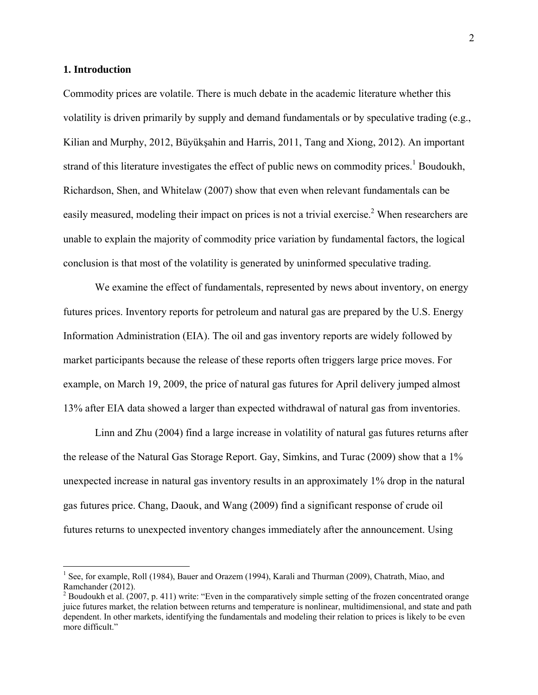## **1. Introduction**

 $\overline{a}$ 

Commodity prices are volatile. There is much debate in the academic literature whether this volatility is driven primarily by supply and demand fundamentals or by speculative trading (e.g., Kilian and Murphy, 2012, Büyükşahin and Harris, 2011, Tang and Xiong, 2012). An important strand of this literature investigates the effect of public news on commodity prices.<sup>1</sup> Boudoukh, Richardson, Shen, and Whitelaw (2007) show that even when relevant fundamentals can be easily measured, modeling their impact on prices is not a trivial exercise.<sup>2</sup> When researchers are unable to explain the majority of commodity price variation by fundamental factors, the logical conclusion is that most of the volatility is generated by uninformed speculative trading.

We examine the effect of fundamentals, represented by news about inventory, on energy futures prices. Inventory reports for petroleum and natural gas are prepared by the U.S. Energy Information Administration (EIA). The oil and gas inventory reports are widely followed by market participants because the release of these reports often triggers large price moves. For example, on March 19, 2009, the price of natural gas futures for April delivery jumped almost 13% after EIA data showed a larger than expected withdrawal of natural gas from inventories.

Linn and Zhu (2004) find a large increase in volatility of natural gas futures returns after the release of the Natural Gas Storage Report. Gay, Simkins, and Turac (2009) show that a 1% unexpected increase in natural gas inventory results in an approximately 1% drop in the natural gas futures price. Chang, Daouk, and Wang (2009) find a significant response of crude oil futures returns to unexpected inventory changes immediately after the announcement. Using

<sup>&</sup>lt;sup>1</sup> See, for example, Roll (1984), Bauer and Orazem (1994), Karali and Thurman (2009), Chatrath, Miao, and Ramchander (2012).

<sup>&</sup>lt;sup>2</sup> Boudoukh et al. (2007, p. 411) write: "Even in the comparatively simple setting of the frozen concentrated orange juice futures market, the relation between returns and temperature is nonlinear, multidimensional, and state and path dependent. In other markets, identifying the fundamentals and modeling their relation to prices is likely to be even more difficult."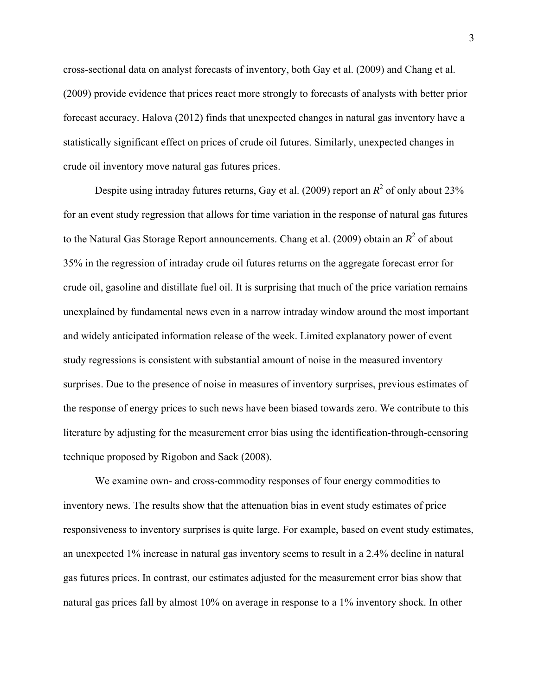cross-sectional data on analyst forecasts of inventory, both Gay et al. (2009) and Chang et al. (2009) provide evidence that prices react more strongly to forecasts of analysts with better prior forecast accuracy. Halova (2012) finds that unexpected changes in natural gas inventory have a statistically significant effect on prices of crude oil futures. Similarly, unexpected changes in crude oil inventory move natural gas futures prices.

Despite using intraday futures returns, Gay et al. (2009) report an  $R^2$  of only about 23% for an event study regression that allows for time variation in the response of natural gas futures to the Natural Gas Storage Report announcements. Chang et al.  $(2009)$  obtain an  $R^2$  of about 35% in the regression of intraday crude oil futures returns on the aggregate forecast error for crude oil, gasoline and distillate fuel oil. It is surprising that much of the price variation remains unexplained by fundamental news even in a narrow intraday window around the most important and widely anticipated information release of the week. Limited explanatory power of event study regressions is consistent with substantial amount of noise in the measured inventory surprises. Due to the presence of noise in measures of inventory surprises, previous estimates of the response of energy prices to such news have been biased towards zero. We contribute to this literature by adjusting for the measurement error bias using the identification-through-censoring technique proposed by Rigobon and Sack (2008).

We examine own- and cross-commodity responses of four energy commodities to inventory news. The results show that the attenuation bias in event study estimates of price responsiveness to inventory surprises is quite large. For example, based on event study estimates, an unexpected 1% increase in natural gas inventory seems to result in a 2.4% decline in natural gas futures prices. In contrast, our estimates adjusted for the measurement error bias show that natural gas prices fall by almost 10% on average in response to a 1% inventory shock. In other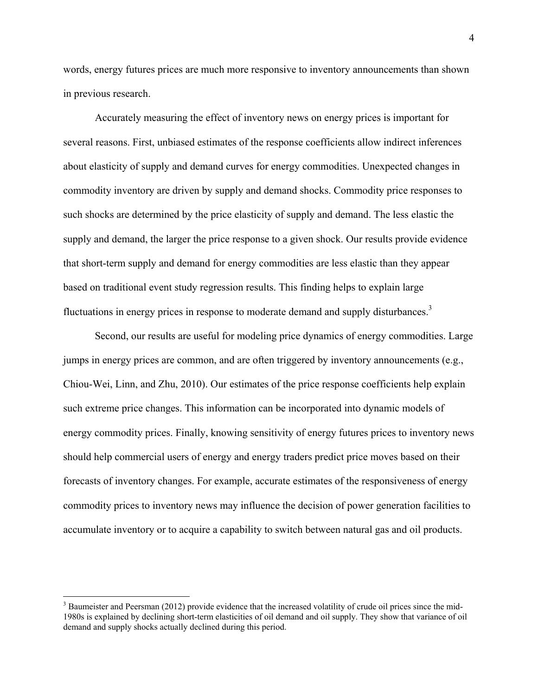words, energy futures prices are much more responsive to inventory announcements than shown in previous research.

Accurately measuring the effect of inventory news on energy prices is important for several reasons. First, unbiased estimates of the response coefficients allow indirect inferences about elasticity of supply and demand curves for energy commodities. Unexpected changes in commodity inventory are driven by supply and demand shocks. Commodity price responses to such shocks are determined by the price elasticity of supply and demand. The less elastic the supply and demand, the larger the price response to a given shock. Our results provide evidence that short-term supply and demand for energy commodities are less elastic than they appear based on traditional event study regression results. This finding helps to explain large fluctuations in energy prices in response to moderate demand and supply disturbances.<sup>3</sup>

Second, our results are useful for modeling price dynamics of energy commodities. Large jumps in energy prices are common, and are often triggered by inventory announcements (e.g., Chiou-Wei, Linn, and Zhu, 2010). Our estimates of the price response coefficients help explain such extreme price changes. This information can be incorporated into dynamic models of energy commodity prices. Finally, knowing sensitivity of energy futures prices to inventory news should help commercial users of energy and energy traders predict price moves based on their forecasts of inventory changes. For example, accurate estimates of the responsiveness of energy commodity prices to inventory news may influence the decision of power generation facilities to accumulate inventory or to acquire a capability to switch between natural gas and oil products.

1

 $3$  Baumeister and Peersman (2012) provide evidence that the increased volatility of crude oil prices since the mid-1980s is explained by declining short-term elasticities of oil demand and oil supply. They show that variance of oil demand and supply shocks actually declined during this period.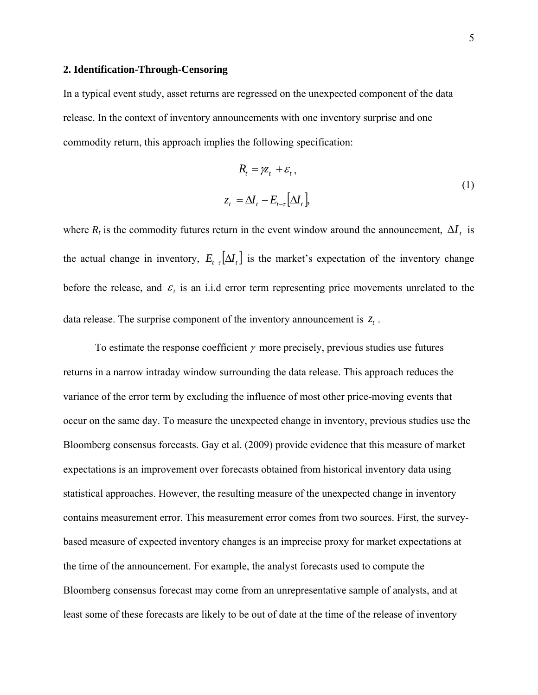#### **2. Identification-Through-Censoring**

In a typical event study, asset returns are regressed on the unexpected component of the data release. In the context of inventory announcements with one inventory surprise and one commodity return, this approach implies the following specification:

$$
R_{t} = \chi_{t} + \varepsilon_{t},
$$
  

$$
z_{t} = \Delta I_{t} - E_{t-\tau} \left[ \Delta I_{t} \right],
$$
 (1)

where  $R_t$  is the commodity futures return in the event window around the announcement,  $\Delta I_t$  is the actual change in inventory,  $E_{t-\tau}[\Delta I_t]$  is the market's expectation of the inventory change before the release, and  $\varepsilon$  is an i.i.d error term representing price movements unrelated to the data release. The surprise component of the inventory announcement is  $z_t$ .

To estimate the response coefficient  $\gamma$  more precisely, previous studies use futures returns in a narrow intraday window surrounding the data release. This approach reduces the variance of the error term by excluding the influence of most other price-moving events that occur on the same day. To measure the unexpected change in inventory, previous studies use the Bloomberg consensus forecasts. Gay et al. (2009) provide evidence that this measure of market expectations is an improvement over forecasts obtained from historical inventory data using statistical approaches. However, the resulting measure of the unexpected change in inventory contains measurement error. This measurement error comes from two sources. First, the surveybased measure of expected inventory changes is an imprecise proxy for market expectations at the time of the announcement. For example, the analyst forecasts used to compute the Bloomberg consensus forecast may come from an unrepresentative sample of analysts, and at least some of these forecasts are likely to be out of date at the time of the release of inventory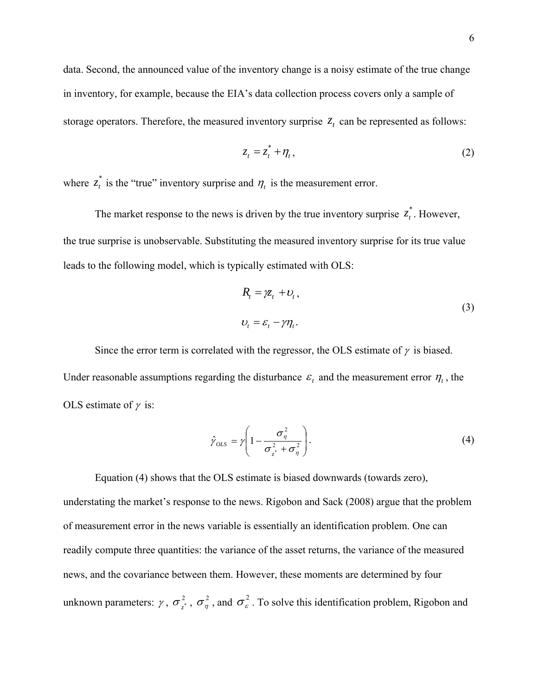data. Second, the announced value of the inventory change is a noisy estimate of the true change in inventory, for example, because the EIA's data collection process covers only a sample of storage operators. Therefore, the measured inventory surprise  $z_t$  can be represented as follows:

$$
z_t = z_t^* + \eta_t, \qquad (2)
$$

where  $z_t^*$  is the "true" inventory surprise and  $\eta_t$  is the measurement error.

The market response to the news is driven by the true inventory surprise  $z_t^*$ . However, the true surprise is unobservable. Substituting the measured inventory surprise for its true value leads to the following model, which is typically estimated with OLS:

$$
R_t = \chi_t + \upsilon_t, \n\upsilon_t = \varepsilon_t - \gamma \eta_t.
$$
\n(3)

Since the error term is correlated with the regressor, the OLS estimate of  $\gamma$  is biased. Under reasonable assumptions regarding the disturbance  $\varepsilon$  and the measurement error  $\eta$ , the OLS estimate of  $\nu$  is:

$$
\hat{\gamma}_{OLS} = \gamma \left( 1 - \frac{\sigma_{\eta}^2}{\sigma_{z}^2 + \sigma_{\eta}^2} \right). \tag{4}
$$

Equation (4) shows that the OLS estimate is biased downwards (towards zero), understating the market's response to the news. Rigobon and Sack (2008) argue that the problem of measurement error in the news variable is essentially an identification problem. One can readily compute three quantities: the variance of the asset returns, the variance of the measured news, and the covariance between them. However, these moments are determined by four unknown parameters:  $\gamma$ ,  $\sigma_z^2$ ,  $\sigma_\eta^2$ , and  $\sigma_z^2$ . To solve this identification problem, Rigobon and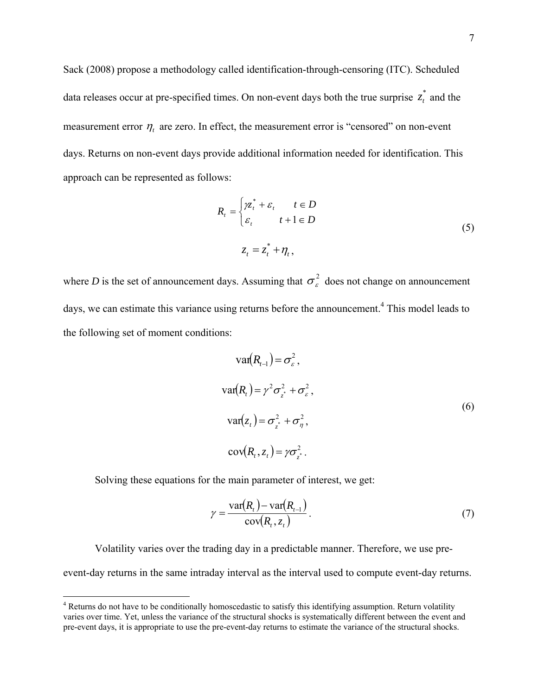Sack (2008) propose a methodology called identification-through-censoring (ITC). Scheduled data releases occur at pre-specified times. On non-event days both the true surprise  $z_t^*$  and the measurement error  $\eta_t$  are zero. In effect, the measurement error is "censored" on non-event days. Returns on non-event days provide additional information needed for identification. This approach can be represented as follows:

$$
R_{t} = \begin{cases} \gamma z_{t}^{*} + \varepsilon_{t} & t \in D \\ \varepsilon_{t} & t + 1 \in D \end{cases}
$$
  

$$
z_{t} = z_{t}^{*} + \eta_{t},
$$
 (5)

where *D* is the set of announcement days. Assuming that  $\sigma_{\epsilon}^2$  does not change on announcement days, we can estimate this variance using returns before the announcement.<sup>4</sup> This model leads to the following set of moment conditions:

$$
\operatorname{var}(R_{t-1}) = \sigma_{\varepsilon}^{2},
$$
  
\n
$$
\operatorname{var}(R_{t}) = \gamma^{2} \sigma_{z}^{2} + \sigma_{\varepsilon}^{2},
$$
  
\n
$$
\operatorname{var}(z_{t}) = \sigma_{z}^{2} + \sigma_{\eta}^{2},
$$
  
\n
$$
\operatorname{cov}(R_{t}, z_{t}) = \gamma \sigma_{z}^{2}.
$$
  
\n(6)

Solving these equations for the main parameter of interest, we get:

 $\overline{a}$ 

$$
\gamma = \frac{\text{var}(R_t) - \text{var}(R_{t-1})}{\text{cov}(R_t, z_t)}.
$$
\n(7)

Volatility varies over the trading day in a predictable manner. Therefore, we use preevent-day returns in the same intraday interval as the interval used to compute event-day returns.

<sup>&</sup>lt;sup>4</sup> Returns do not have to be conditionally homoscedastic to satisfy this identifying assumption. Return volatility varies over time. Yet, unless the variance of the structural shocks is systematically different between the event and pre-event days, it is appropriate to use the pre-event-day returns to estimate the variance of the structural shocks.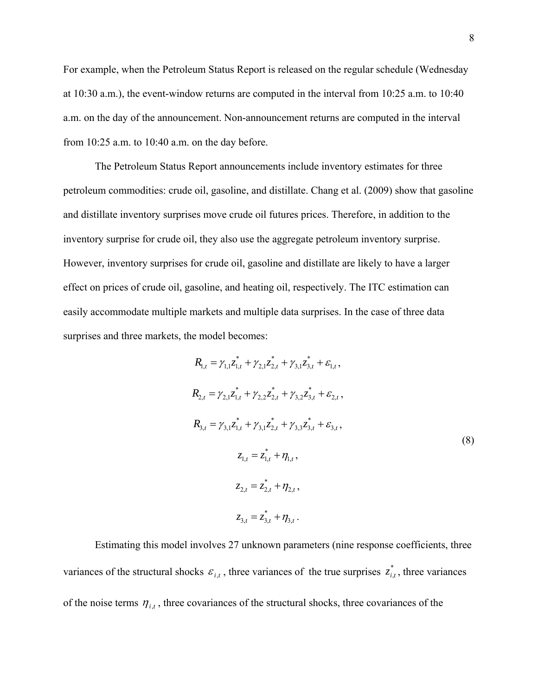For example, when the Petroleum Status Report is released on the regular schedule (Wednesday at 10:30 a.m.), the event-window returns are computed in the interval from 10:25 a.m. to 10:40 a.m. on the day of the announcement. Non-announcement returns are computed in the interval from 10:25 a.m. to 10:40 a.m. on the day before.

The Petroleum Status Report announcements include inventory estimates for three petroleum commodities: crude oil, gasoline, and distillate. Chang et al. (2009) show that gasoline and distillate inventory surprises move crude oil futures prices. Therefore, in addition to the inventory surprise for crude oil, they also use the aggregate petroleum inventory surprise. However, inventory surprises for crude oil, gasoline and distillate are likely to have a larger effect on prices of crude oil, gasoline, and heating oil, respectively. The ITC estimation can easily accommodate multiple markets and multiple data surprises. In the case of three data surprises and three markets, the model becomes:

$$
R_{1,t} = \gamma_{1,1} z_{1,t}^{*} + \gamma_{2,1} z_{2,t}^{*} + \gamma_{3,1} z_{3,t}^{*} + \varepsilon_{1,t},
$$
\n
$$
R_{2,t} = \gamma_{2,1} z_{1,t}^{*} + \gamma_{2,2} z_{2,t}^{*} + \gamma_{3,2} z_{3,t}^{*} + \varepsilon_{2,t},
$$
\n
$$
R_{3,t} = \gamma_{3,1} z_{1,t}^{*} + \gamma_{3,1} z_{2,t}^{*} + \gamma_{3,3} z_{3,t}^{*} + \varepsilon_{3,t},
$$
\n
$$
z_{1,t} = z_{1,t}^{*} + \eta_{1,t},
$$
\n
$$
z_{2,t} = z_{2,t}^{*} + \eta_{2,t},
$$
\n
$$
z_{3,t} = z_{3,t}^{*} + \eta_{3,t}.
$$
\n(8)

Estimating this model involves 27 unknown parameters (nine response coefficients, three variances of the structural shocks  $\varepsilon_{i,t}$ , three variances of the true surprises  $z_{i,t}^*$ , three variances of the noise terms  $\eta_{i,t}$ , three covariances of the structural shocks, three covariances of the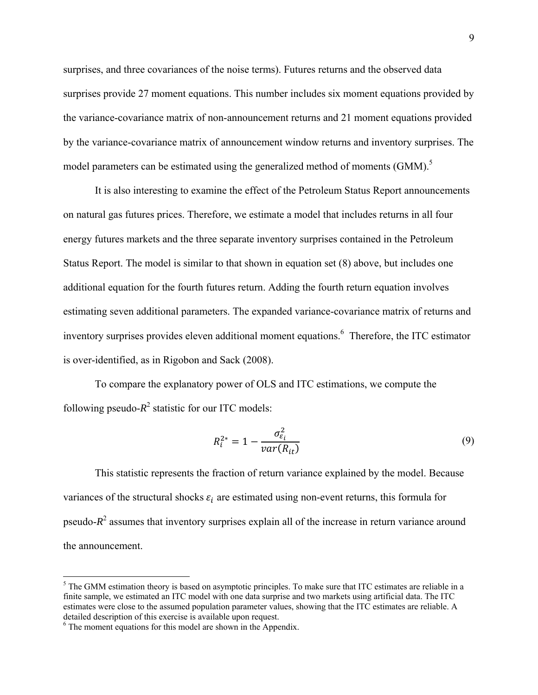surprises, and three covariances of the noise terms). Futures returns and the observed data surprises provide 27 moment equations. This number includes six moment equations provided by the variance-covariance matrix of non-announcement returns and 21 moment equations provided by the variance-covariance matrix of announcement window returns and inventory surprises. The model parameters can be estimated using the generalized method of moments  $(GMM)$ .<sup>5</sup>

It is also interesting to examine the effect of the Petroleum Status Report announcements on natural gas futures prices. Therefore, we estimate a model that includes returns in all four energy futures markets and the three separate inventory surprises contained in the Petroleum Status Report. The model is similar to that shown in equation set (8) above, but includes one additional equation for the fourth futures return. Adding the fourth return equation involves estimating seven additional parameters. The expanded variance-covariance matrix of returns and inventory surprises provides eleven additional moment equations.<sup>6</sup> Therefore, the ITC estimator is over-identified, as in Rigobon and Sack (2008).

To compare the explanatory power of OLS and ITC estimations, we compute the following pseudo- $R^2$  statistic for our ITC models:

$$
R_i^{2*} = 1 - \frac{\sigma_{\varepsilon_i}^2}{var(R_{it})}
$$
\n
$$
(9)
$$

This statistic represents the fraction of return variance explained by the model. Because variances of the structural shocks  $\varepsilon_i$  are estimated using non-event returns, this formula for pseudo- $R^2$  assumes that inventory surprises explain all of the increase in return variance around the announcement.

 $<sup>5</sup>$  The GMM estimation theory is based on asymptotic principles. To make sure that ITC estimates are reliable in a</sup> finite sample, we estimated an ITC model with one data surprise and two markets using artificial data. The ITC estimates were close to the assumed population parameter values, showing that the ITC estimates are reliable. A detailed description of this exercise is available upon request.

<sup>&</sup>lt;sup>6</sup> The moment equations for this model are shown in the Appendix.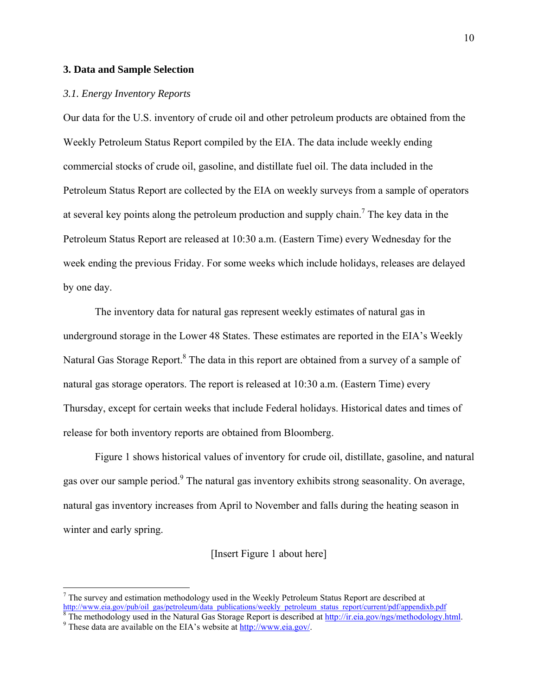## **3. Data and Sample Selection**

## *3.1. Energy Inventory Reports*

Our data for the U.S. inventory of crude oil and other petroleum products are obtained from the Weekly Petroleum Status Report compiled by the EIA. The data include weekly ending commercial stocks of crude oil, gasoline, and distillate fuel oil. The data included in the Petroleum Status Report are collected by the EIA on weekly surveys from a sample of operators at several key points along the petroleum production and supply chain.<sup>7</sup> The key data in the Petroleum Status Report are released at 10:30 a.m. (Eastern Time) every Wednesday for the week ending the previous Friday. For some weeks which include holidays, releases are delayed by one day.

 The inventory data for natural gas represent weekly estimates of natural gas in underground storage in the Lower 48 States. These estimates are reported in the EIA's Weekly Natural Gas Storage Report. $^8$  The data in this report are obtained from a survey of a sample of natural gas storage operators. The report is released at 10:30 a.m. (Eastern Time) every Thursday, except for certain weeks that include Federal holidays. Historical dates and times of release for both inventory reports are obtained from Bloomberg.

Figure 1 shows historical values of inventory for crude oil, distillate, gasoline, and natural gas over our sample period.<sup>9</sup> The natural gas inventory exhibits strong seasonality. On average, natural gas inventory increases from April to November and falls during the heating season in winter and early spring.

## [Insert Figure 1 about here]

 $<sup>7</sup>$  The survey and estimation methodology used in the Weekly Petroleum Status Report are described at</sup> http://www.eia.gov/pub/oil\_gas/petroleum/data\_publications/weekly\_petroleum\_status\_report/current/pdf/appendixb.pdf 8<br><sup>8</sup> The methodology used in the Natural Gos Storage Benert is described at http://ir.gis.gov/per/pethodo

<sup>&</sup>lt;sup>8</sup> The methodology used in the Natural Gas Storage Report is described at  $\frac{http://ir.eia.gov/ngs/methodology.html}{http://ir.eia.gov/ngs/methodology.html}$ .

These data are available on the EIA's website at http://www.eia.gov/.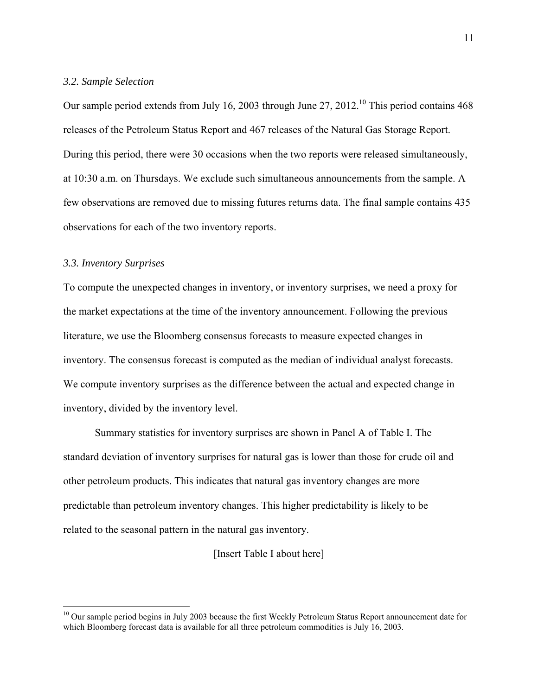## *3.2. Sample Selection*

Our sample period extends from July 16, 2003 through June 27, 2012.<sup>10</sup> This period contains  $468$ releases of the Petroleum Status Report and 467 releases of the Natural Gas Storage Report. During this period, there were 30 occasions when the two reports were released simultaneously, at 10:30 a.m. on Thursdays. We exclude such simultaneous announcements from the sample. A few observations are removed due to missing futures returns data. The final sample contains 435 observations for each of the two inventory reports.

## *3.3. Inventory Surprises*

 $\overline{a}$ 

To compute the unexpected changes in inventory, or inventory surprises, we need a proxy for the market expectations at the time of the inventory announcement. Following the previous literature, we use the Bloomberg consensus forecasts to measure expected changes in inventory. The consensus forecast is computed as the median of individual analyst forecasts. We compute inventory surprises as the difference between the actual and expected change in inventory, divided by the inventory level.

Summary statistics for inventory surprises are shown in Panel A of Table I. The standard deviation of inventory surprises for natural gas is lower than those for crude oil and other petroleum products. This indicates that natural gas inventory changes are more predictable than petroleum inventory changes. This higher predictability is likely to be related to the seasonal pattern in the natural gas inventory.

[Insert Table I about here]

<sup>&</sup>lt;sup>10</sup> Our sample period begins in July 2003 because the first Weekly Petroleum Status Report announcement date for which Bloomberg forecast data is available for all three petroleum commodities is July 16, 2003.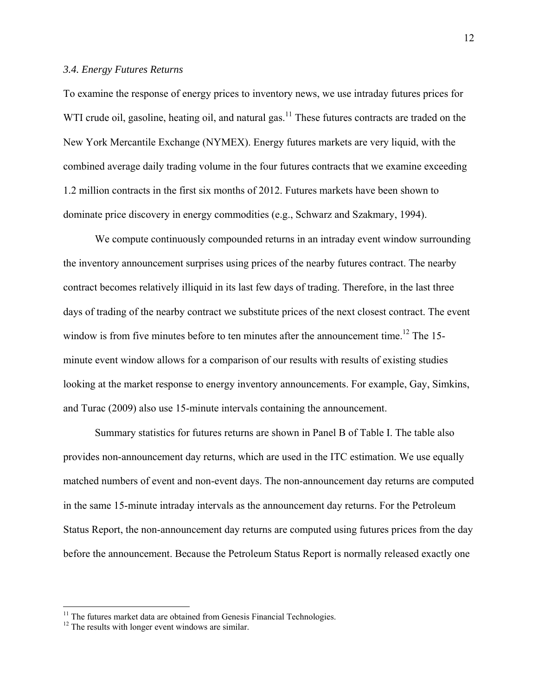## *3.4. Energy Futures Returns*

To examine the response of energy prices to inventory news, we use intraday futures prices for WTI crude oil, gasoline, heating oil, and natural gas.<sup>11</sup> These futures contracts are traded on the New York Mercantile Exchange (NYMEX). Energy futures markets are very liquid, with the combined average daily trading volume in the four futures contracts that we examine exceeding 1.2 million contracts in the first six months of 2012. Futures markets have been shown to dominate price discovery in energy commodities (e.g., Schwarz and Szakmary, 1994).

We compute continuously compounded returns in an intraday event window surrounding the inventory announcement surprises using prices of the nearby futures contract. The nearby contract becomes relatively illiquid in its last few days of trading. Therefore, in the last three days of trading of the nearby contract we substitute prices of the next closest contract. The event window is from five minutes before to ten minutes after the announcement time.<sup>12</sup> The 15minute event window allows for a comparison of our results with results of existing studies looking at the market response to energy inventory announcements. For example, Gay, Simkins, and Turac (2009) also use 15-minute intervals containing the announcement.

Summary statistics for futures returns are shown in Panel B of Table I. The table also provides non-announcement day returns, which are used in the ITC estimation. We use equally matched numbers of event and non-event days. The non-announcement day returns are computed in the same 15-minute intraday intervals as the announcement day returns. For the Petroleum Status Report, the non-announcement day returns are computed using futures prices from the day before the announcement. Because the Petroleum Status Report is normally released exactly one

 $11$  The futures market data are obtained from Genesis Financial Technologies.

<sup>&</sup>lt;sup>12</sup> The results with longer event windows are similar.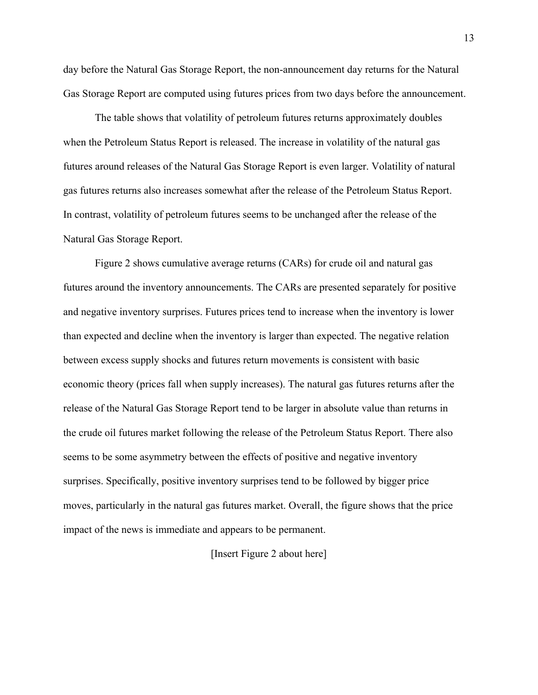day before the Natural Gas Storage Report, the non-announcement day returns for the Natural Gas Storage Report are computed using futures prices from two days before the announcement.

The table shows that volatility of petroleum futures returns approximately doubles when the Petroleum Status Report is released. The increase in volatility of the natural gas futures around releases of the Natural Gas Storage Report is even larger. Volatility of natural gas futures returns also increases somewhat after the release of the Petroleum Status Report. In contrast, volatility of petroleum futures seems to be unchanged after the release of the Natural Gas Storage Report.

Figure 2 shows cumulative average returns (CARs) for crude oil and natural gas futures around the inventory announcements. The CARs are presented separately for positive and negative inventory surprises. Futures prices tend to increase when the inventory is lower than expected and decline when the inventory is larger than expected. The negative relation between excess supply shocks and futures return movements is consistent with basic economic theory (prices fall when supply increases). The natural gas futures returns after the release of the Natural Gas Storage Report tend to be larger in absolute value than returns in the crude oil futures market following the release of the Petroleum Status Report. There also seems to be some asymmetry between the effects of positive and negative inventory surprises. Specifically, positive inventory surprises tend to be followed by bigger price moves, particularly in the natural gas futures market. Overall, the figure shows that the price impact of the news is immediate and appears to be permanent.

## [Insert Figure 2 about here]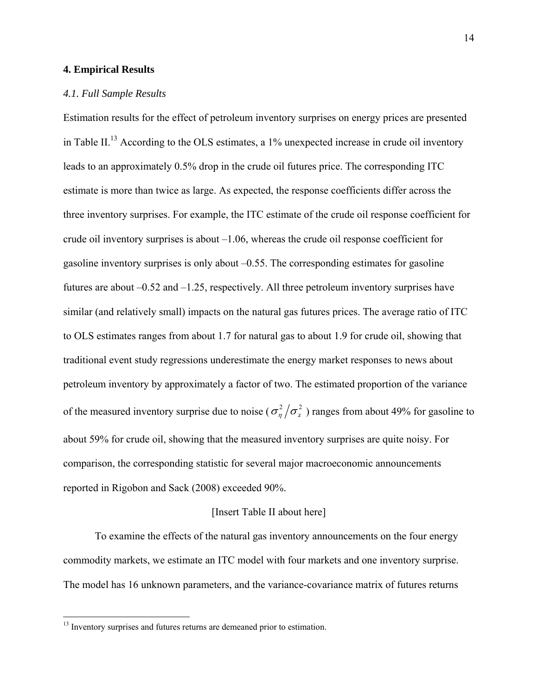## **4. Empirical Results**

### *4.1. Full Sample Results*

Estimation results for the effect of petroleum inventory surprises on energy prices are presented in Table II.<sup>13</sup> According to the OLS estimates, a 1% unexpected increase in crude oil inventory leads to an approximately 0.5% drop in the crude oil futures price. The corresponding ITC estimate is more than twice as large. As expected, the response coefficients differ across the three inventory surprises. For example, the ITC estimate of the crude oil response coefficient for crude oil inventory surprises is about –1.06, whereas the crude oil response coefficient for gasoline inventory surprises is only about –0.55. The corresponding estimates for gasoline futures are about –0.52 and –1.25, respectively. All three petroleum inventory surprises have similar (and relatively small) impacts on the natural gas futures prices. The average ratio of ITC to OLS estimates ranges from about 1.7 for natural gas to about 1.9 for crude oil, showing that traditional event study regressions underestimate the energy market responses to news about petroleum inventory by approximately a factor of two. The estimated proportion of the variance of the measured inventory surprise due to noise ( $\sigma_{\eta}^2/\sigma_z^2$ ) ranges from about 49% for gasoline to about 59% for crude oil, showing that the measured inventory surprises are quite noisy. For comparison, the corresponding statistic for several major macroeconomic announcements reported in Rigobon and Sack (2008) exceeded 90%.

## [Insert Table II about here]

To examine the effects of the natural gas inventory announcements on the four energy commodity markets, we estimate an ITC model with four markets and one inventory surprise. The model has 16 unknown parameters, and the variance-covariance matrix of futures returns

<sup>&</sup>lt;sup>13</sup> Inventory surprises and futures returns are demeaned prior to estimation.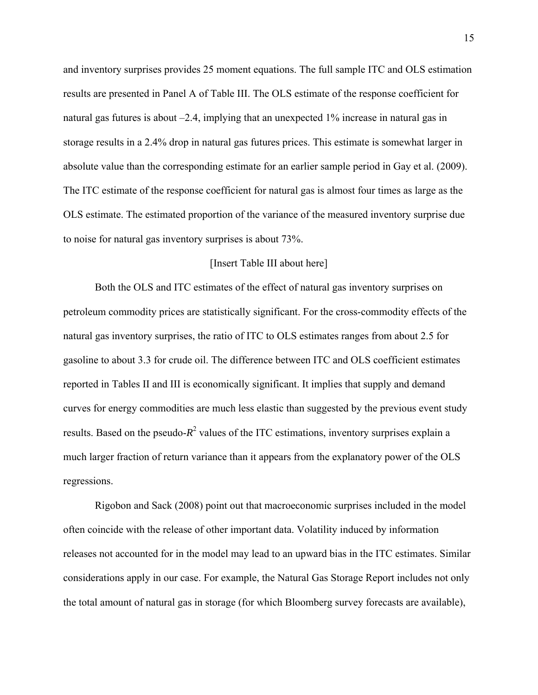and inventory surprises provides 25 moment equations. The full sample ITC and OLS estimation results are presented in Panel A of Table III. The OLS estimate of the response coefficient for natural gas futures is about –2.4, implying that an unexpected 1% increase in natural gas in storage results in a 2.4% drop in natural gas futures prices. This estimate is somewhat larger in absolute value than the corresponding estimate for an earlier sample period in Gay et al. (2009). The ITC estimate of the response coefficient for natural gas is almost four times as large as the OLS estimate. The estimated proportion of the variance of the measured inventory surprise due to noise for natural gas inventory surprises is about 73%.

#### [Insert Table III about here]

Both the OLS and ITC estimates of the effect of natural gas inventory surprises on petroleum commodity prices are statistically significant. For the cross-commodity effects of the natural gas inventory surprises, the ratio of ITC to OLS estimates ranges from about 2.5 for gasoline to about 3.3 for crude oil. The difference between ITC and OLS coefficient estimates reported in Tables II and III is economically significant. It implies that supply and demand curves for energy commodities are much less elastic than suggested by the previous event study results. Based on the pseudo- $R^2$  values of the ITC estimations, inventory surprises explain a much larger fraction of return variance than it appears from the explanatory power of the OLS regressions.

Rigobon and Sack (2008) point out that macroeconomic surprises included in the model often coincide with the release of other important data. Volatility induced by information releases not accounted for in the model may lead to an upward bias in the ITC estimates. Similar considerations apply in our case. For example, the Natural Gas Storage Report includes not only the total amount of natural gas in storage (for which Bloomberg survey forecasts are available),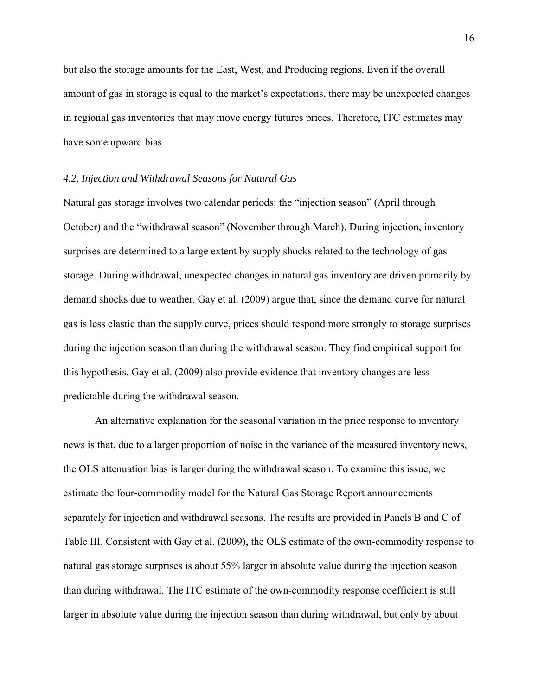but also the storage amounts for the East, West, and Producing regions. Even if the overall amount of gas in storage is equal to the market's expectations, there may be unexpected changes in regional gas inventories that may move energy futures prices. Therefore, ITC estimates may have some upward bias.

## *4.2. Injection and Withdrawal Seasons for Natural Gas*

Natural gas storage involves two calendar periods: the "injection season" (April through October) and the "withdrawal season" (November through March). During injection, inventory surprises are determined to a large extent by supply shocks related to the technology of gas storage. During withdrawal, unexpected changes in natural gas inventory are driven primarily by demand shocks due to weather. Gay et al. (2009) argue that, since the demand curve for natural gas is less elastic than the supply curve, prices should respond more strongly to storage surprises during the injection season than during the withdrawal season. They find empirical support for this hypothesis. Gay et al. (2009) also provide evidence that inventory changes are less predictable during the withdrawal season.

An alternative explanation for the seasonal variation in the price response to inventory news is that, due to a larger proportion of noise in the variance of the measured inventory news, the OLS attenuation bias is larger during the withdrawal season. To examine this issue, we estimate the four-commodity model for the Natural Gas Storage Report announcements separately for injection and withdrawal seasons. The results are provided in Panels B and C of Table III. Consistent with Gay et al. (2009), the OLS estimate of the own-commodity response to natural gas storage surprises is about 55% larger in absolute value during the injection season than during withdrawal. The ITC estimate of the own-commodity response coefficient is still larger in absolute value during the injection season than during withdrawal, but only by about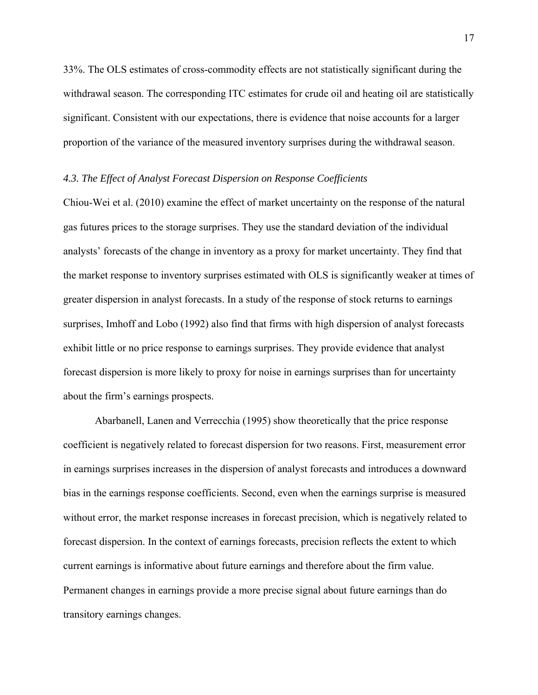33%. The OLS estimates of cross-commodity effects are not statistically significant during the withdrawal season. The corresponding ITC estimates for crude oil and heating oil are statistically significant. Consistent with our expectations, there is evidence that noise accounts for a larger proportion of the variance of the measured inventory surprises during the withdrawal season.

## *4.3. The Effect of Analyst Forecast Dispersion on Response Coefficients*

Chiou-Wei et al. (2010) examine the effect of market uncertainty on the response of the natural gas futures prices to the storage surprises. They use the standard deviation of the individual analysts' forecasts of the change in inventory as a proxy for market uncertainty. They find that the market response to inventory surprises estimated with OLS is significantly weaker at times of greater dispersion in analyst forecasts. In a study of the response of stock returns to earnings surprises, Imhoff and Lobo (1992) also find that firms with high dispersion of analyst forecasts exhibit little or no price response to earnings surprises. They provide evidence that analyst forecast dispersion is more likely to proxy for noise in earnings surprises than for uncertainty about the firm's earnings prospects.

Abarbanell, Lanen and Verrecchia (1995) show theoretically that the price response coefficient is negatively related to forecast dispersion for two reasons. First, measurement error in earnings surprises increases in the dispersion of analyst forecasts and introduces a downward bias in the earnings response coefficients. Second, even when the earnings surprise is measured without error, the market response increases in forecast precision, which is negatively related to forecast dispersion. In the context of earnings forecasts, precision reflects the extent to which current earnings is informative about future earnings and therefore about the firm value. Permanent changes in earnings provide a more precise signal about future earnings than do transitory earnings changes.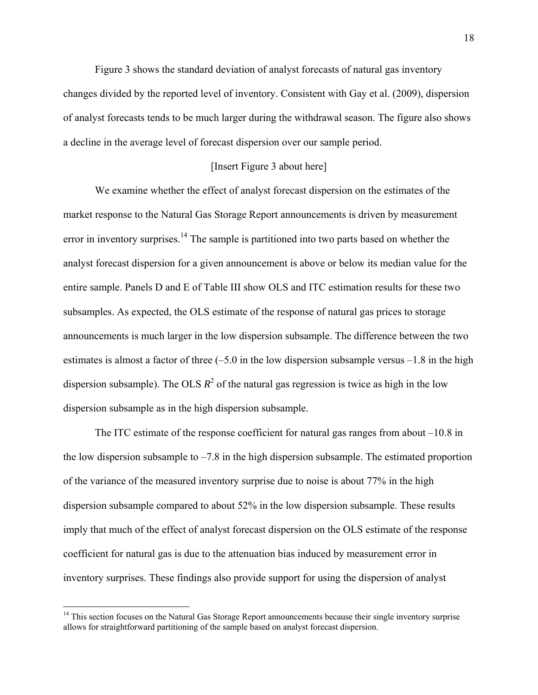Figure 3 shows the standard deviation of analyst forecasts of natural gas inventory changes divided by the reported level of inventory. Consistent with Gay et al. (2009), dispersion of analyst forecasts tends to be much larger during the withdrawal season. The figure also shows a decline in the average level of forecast dispersion over our sample period.

## [Insert Figure 3 about here]

 We examine whether the effect of analyst forecast dispersion on the estimates of the market response to the Natural Gas Storage Report announcements is driven by measurement error in inventory surprises.<sup>14</sup> The sample is partitioned into two parts based on whether the analyst forecast dispersion for a given announcement is above or below its median value for the entire sample. Panels D and E of Table III show OLS and ITC estimation results for these two subsamples. As expected, the OLS estimate of the response of natural gas prices to storage announcements is much larger in the low dispersion subsample. The difference between the two estimates is almost a factor of three  $(-5.0$  in the low dispersion subsample versus  $-1.8$  in the high dispersion subsample). The OLS  $R^2$  of the natural gas regression is twice as high in the low dispersion subsample as in the high dispersion subsample.

 The ITC estimate of the response coefficient for natural gas ranges from about –10.8 in the low dispersion subsample to  $-7.8$  in the high dispersion subsample. The estimated proportion of the variance of the measured inventory surprise due to noise is about 77% in the high dispersion subsample compared to about 52% in the low dispersion subsample. These results imply that much of the effect of analyst forecast dispersion on the OLS estimate of the response coefficient for natural gas is due to the attenuation bias induced by measurement error in inventory surprises. These findings also provide support for using the dispersion of analyst

<sup>&</sup>lt;sup>14</sup> This section focuses on the Natural Gas Storage Report announcements because their single inventory surprise allows for straightforward partitioning of the sample based on analyst forecast dispersion.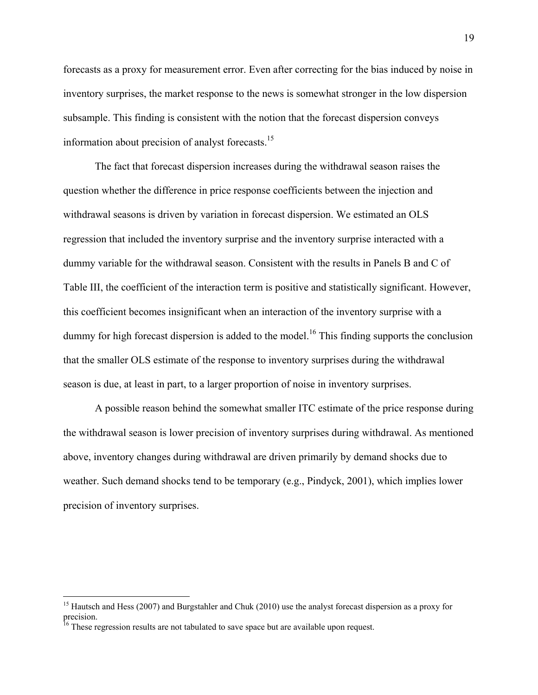forecasts as a proxy for measurement error. Even after correcting for the bias induced by noise in inventory surprises, the market response to the news is somewhat stronger in the low dispersion subsample. This finding is consistent with the notion that the forecast dispersion conveys information about precision of analyst forecasts.15

 The fact that forecast dispersion increases during the withdrawal season raises the question whether the difference in price response coefficients between the injection and withdrawal seasons is driven by variation in forecast dispersion. We estimated an OLS regression that included the inventory surprise and the inventory surprise interacted with a dummy variable for the withdrawal season. Consistent with the results in Panels B and C of Table III, the coefficient of the interaction term is positive and statistically significant. However, this coefficient becomes insignificant when an interaction of the inventory surprise with a dummy for high forecast dispersion is added to the model.<sup>16</sup> This finding supports the conclusion that the smaller OLS estimate of the response to inventory surprises during the withdrawal season is due, at least in part, to a larger proportion of noise in inventory surprises.

A possible reason behind the somewhat smaller ITC estimate of the price response during the withdrawal season is lower precision of inventory surprises during withdrawal. As mentioned above, inventory changes during withdrawal are driven primarily by demand shocks due to weather. Such demand shocks tend to be temporary (e.g., Pindyck, 2001), which implies lower precision of inventory surprises.

<sup>&</sup>lt;sup>15</sup> Hautsch and Hess (2007) and Burgstahler and Chuk (2010) use the analyst forecast dispersion as a proxy for precision.

<sup>&</sup>lt;sup>16</sup> These regression results are not tabulated to save space but are available upon request.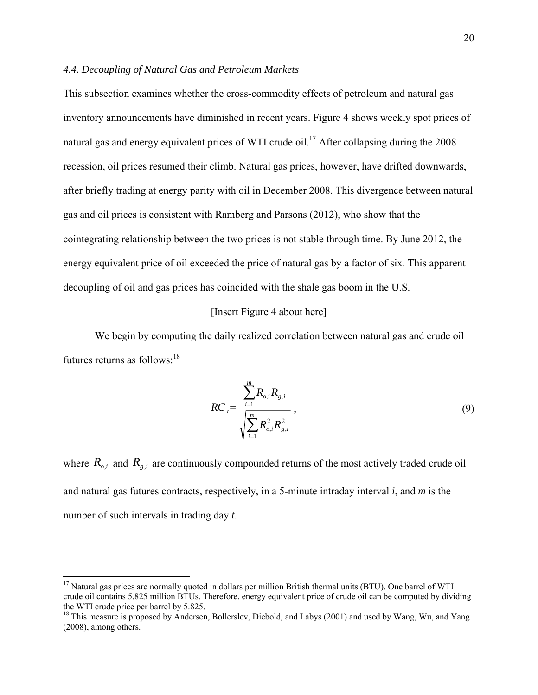## *4.4. Decoupling of Natural Gas and Petroleum Markets*

This subsection examines whether the cross-commodity effects of petroleum and natural gas inventory announcements have diminished in recent years. Figure 4 shows weekly spot prices of natural gas and energy equivalent prices of WTI crude oil.<sup>17</sup> After collapsing during the 2008 recession, oil prices resumed their climb. Natural gas prices, however, have drifted downwards, after briefly trading at energy parity with oil in December 2008. This divergence between natural gas and oil prices is consistent with Ramberg and Parsons (2012), who show that the cointegrating relationship between the two prices is not stable through time. By June 2012, the energy equivalent price of oil exceeded the price of natural gas by a factor of six. This apparent decoupling of oil and gas prices has coincided with the shale gas boom in the U.S.

## [Insert Figure 4 about here]

 We begin by computing the daily realized correlation between natural gas and crude oil futures returns as follows:  $18$ 

$$
RC_{i} = \frac{\sum_{i=1}^{m} R_{o,i} R_{g,i}}{\sqrt{\sum_{i=1}^{m} R_{o,i}^{2} R_{g,i}^{2}}},
$$
\n(9)

where  $R_{o,i}$  and  $R_{g,i}$  are continuously compounded returns of the most actively traded crude oil and natural gas futures contracts, respectively, in a 5-minute intraday interval *i*, and *m* is the number of such intervals in trading day *t*.

1

<sup>&</sup>lt;sup>17</sup> Natural gas prices are normally quoted in dollars per million British thermal units (BTU). One barrel of WTI crude oil contains 5.825 million BTUs. Therefore, energy equivalent price of crude oil can be computed by dividing the WTI crude price per barrel by 5.825.

<sup>&</sup>lt;sup>18</sup> This measure is proposed by Andersen, Bollerslev, Diebold, and Labys (2001) and used by Wang, Wu, and Yang (2008), among others.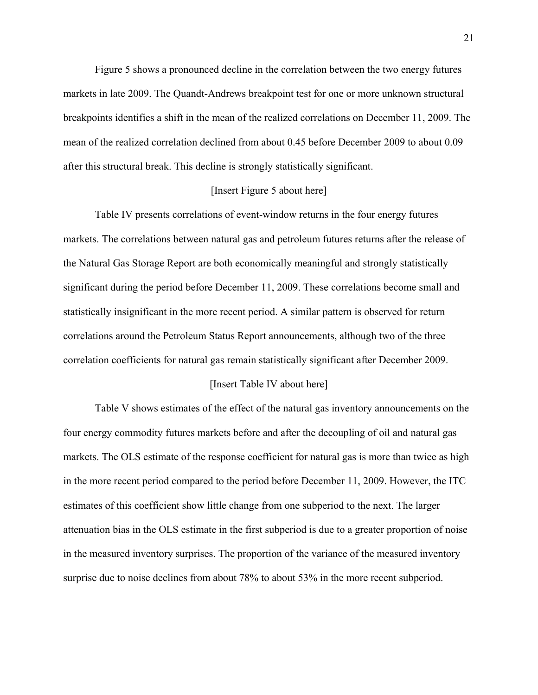Figure 5 shows a pronounced decline in the correlation between the two energy futures markets in late 2009. The Quandt-Andrews breakpoint test for one or more unknown structural breakpoints identifies a shift in the mean of the realized correlations on December 11, 2009. The mean of the realized correlation declined from about 0.45 before December 2009 to about 0.09 after this structural break. This decline is strongly statistically significant.

## [Insert Figure 5 about here]

 Table IV presents correlations of event-window returns in the four energy futures markets. The correlations between natural gas and petroleum futures returns after the release of the Natural Gas Storage Report are both economically meaningful and strongly statistically significant during the period before December 11, 2009. These correlations become small and statistically insignificant in the more recent period. A similar pattern is observed for return correlations around the Petroleum Status Report announcements, although two of the three correlation coefficients for natural gas remain statistically significant after December 2009.

#### [Insert Table IV about here]

Table V shows estimates of the effect of the natural gas inventory announcements on the four energy commodity futures markets before and after the decoupling of oil and natural gas markets. The OLS estimate of the response coefficient for natural gas is more than twice as high in the more recent period compared to the period before December 11, 2009. However, the ITC estimates of this coefficient show little change from one subperiod to the next. The larger attenuation bias in the OLS estimate in the first subperiod is due to a greater proportion of noise in the measured inventory surprises. The proportion of the variance of the measured inventory surprise due to noise declines from about 78% to about 53% in the more recent subperiod.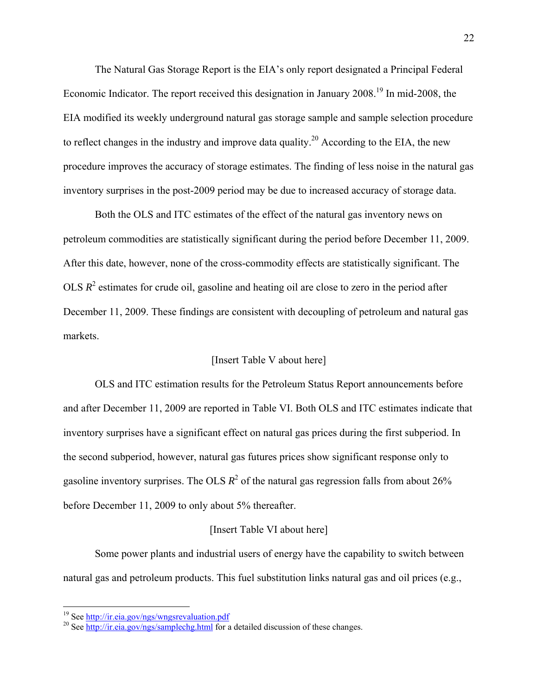The Natural Gas Storage Report is the EIA's only report designated a Principal Federal Economic Indicator. The report received this designation in January 2008.<sup>19</sup> In mid-2008, the EIA modified its weekly underground natural gas storage sample and sample selection procedure to reflect changes in the industry and improve data quality.<sup>20</sup> According to the EIA, the new procedure improves the accuracy of storage estimates. The finding of less noise in the natural gas inventory surprises in the post-2009 period may be due to increased accuracy of storage data.

Both the OLS and ITC estimates of the effect of the natural gas inventory news on petroleum commodities are statistically significant during the period before December 11, 2009. After this date, however, none of the cross-commodity effects are statistically significant. The OLS  $R<sup>2</sup>$  estimates for crude oil, gasoline and heating oil are close to zero in the period after December 11, 2009. These findings are consistent with decoupling of petroleum and natural gas markets.

## [Insert Table V about here]

 OLS and ITC estimation results for the Petroleum Status Report announcements before and after December 11, 2009 are reported in Table VI. Both OLS and ITC estimates indicate that inventory surprises have a significant effect on natural gas prices during the first subperiod. In the second subperiod, however, natural gas futures prices show significant response only to gasoline inventory surprises. The OLS  $R^2$  of the natural gas regression falls from about 26% before December 11, 2009 to only about 5% thereafter.

## [Insert Table VI about here]

Some power plants and industrial users of energy have the capability to switch between natural gas and petroleum products. This fuel substitution links natural gas and oil prices (e.g.,

<sup>&</sup>lt;sup>19</sup> See <u>http://ir.eia.gov/ngs/wngsrevaluation.pdf</u><br><sup>20</sup> See <u>http://ir.eia.gov/ngs/samplechg.html</u> for a detailed discussion of these changes.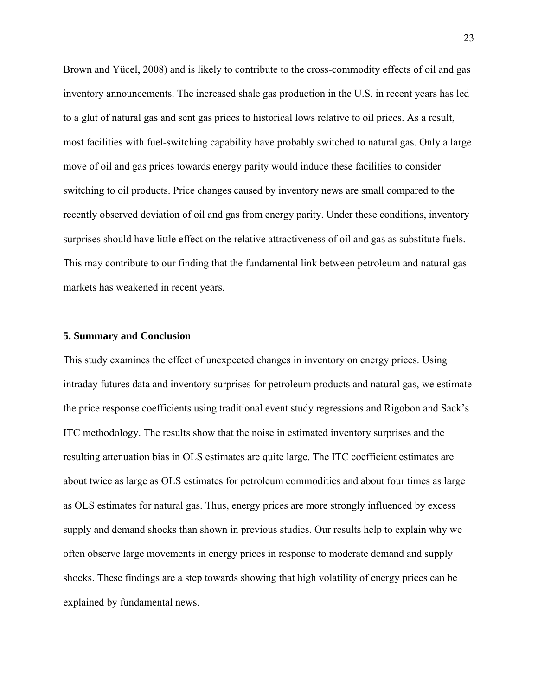Brown and Yücel, 2008) and is likely to contribute to the cross-commodity effects of oil and gas inventory announcements. The increased shale gas production in the U.S. in recent years has led to a glut of natural gas and sent gas prices to historical lows relative to oil prices. As a result, most facilities with fuel-switching capability have probably switched to natural gas. Only a large move of oil and gas prices towards energy parity would induce these facilities to consider switching to oil products. Price changes caused by inventory news are small compared to the recently observed deviation of oil and gas from energy parity. Under these conditions, inventory surprises should have little effect on the relative attractiveness of oil and gas as substitute fuels. This may contribute to our finding that the fundamental link between petroleum and natural gas markets has weakened in recent years.

## **5. Summary and Conclusion**

This study examines the effect of unexpected changes in inventory on energy prices. Using intraday futures data and inventory surprises for petroleum products and natural gas, we estimate the price response coefficients using traditional event study regressions and Rigobon and Sack's ITC methodology. The results show that the noise in estimated inventory surprises and the resulting attenuation bias in OLS estimates are quite large. The ITC coefficient estimates are about twice as large as OLS estimates for petroleum commodities and about four times as large as OLS estimates for natural gas. Thus, energy prices are more strongly influenced by excess supply and demand shocks than shown in previous studies. Our results help to explain why we often observe large movements in energy prices in response to moderate demand and supply shocks. These findings are a step towards showing that high volatility of energy prices can be explained by fundamental news.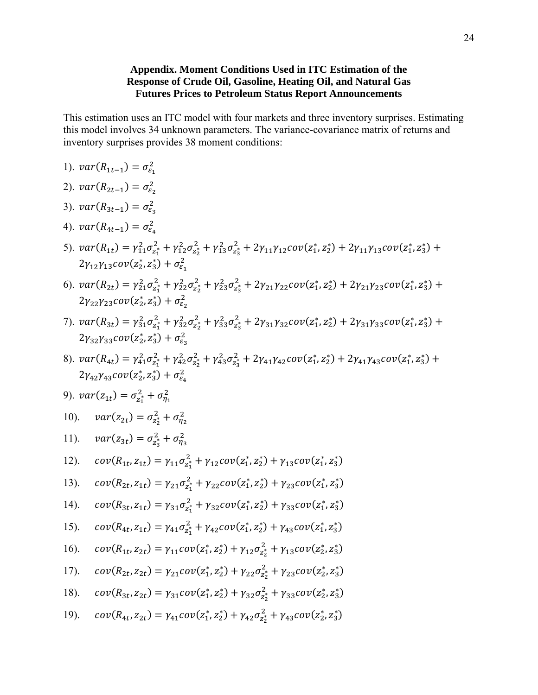# **Appendix. Moment Conditions Used in ITC Estimation of the Response of Crude Oil, Gasoline, Heating Oil, and Natural Gas Futures Prices to Petroleum Status Report Announcements**

This estimation uses an ITC model with four markets and three inventory surprises. Estimating this model involves 34 unknown parameters. The variance-covariance matrix of returns and inventory surprises provides 38 moment conditions:

- 1).  $var(R_{1t-1}) = \sigma_{\varepsilon_1}^2$
- 2).  $var(R_{2t-1}) = \sigma_{\epsilon_2}^2$
- 3).  $var(R_{3t-1}) = \sigma_{\varepsilon_3}^2$
- 4).  $var(R_{4t-1}) = \sigma_{\varepsilon_4}^2$
- 5).  $var(R_{1t}) = \gamma_{11}^2 \sigma_{z_1}^2 + \gamma_{12}^2 \sigma_{z_2}^2 + \gamma_{13}^2 \sigma_{z_3}^2 + 2\gamma_{11}\gamma_{12}cov(z_1^*, z_2^*) + 2\gamma_{11}\gamma_{13}cov(z_1^*, z_3^*) +$  $2\gamma_{12}\gamma_{13}cov(z_2^*,z_3^*)+\sigma_{\epsilon_1}^2$
- 6).  $var(R_{2t}) = \gamma_{21}^2 \sigma_{z_1}^2 + \gamma_{22}^2 \sigma_{z_2}^2 + \gamma_{23}^2 \sigma_{z_3}^2 + 2\gamma_{21}\gamma_{22}cov(z_1^*, z_2^*) + 2\gamma_{21}\gamma_{23}cov(z_1^*, z_3^*) +$  $2\gamma_{22}\gamma_{23}cov(z_2^*,z_3^*)+\sigma_{\epsilon_2}^2$
- 7).  $var(R_{3t}) = \gamma_{31}^2 \sigma_{z_1}^2 + \gamma_{32}^2 \sigma_{z_2}^2 + \gamma_{33}^2 \sigma_{z_3}^2 + 2\gamma_{31}\gamma_{32}cov(z_1^*, z_2^*) + 2\gamma_{31}\gamma_{33}cov(z_1^*, z_3^*) +$  $2\gamma_{32}\gamma_{33}cov(z_2^*,z_3^*)+\sigma_{\epsilon_3}^2$
- 8).  $var(R_{4t}) = \gamma_{41}^2 \sigma_{z_1}^2 + \gamma_{42}^2 \sigma_{z_2}^2 + \gamma_{43}^2 \sigma_{z_3}^2 + 2\gamma_{41}\gamma_{42}cov(z_1^*, z_2^*) + 2\gamma_{41}\gamma_{43}cov(z_1^*, z_3^*)$  +  $2\gamma_{42}\gamma_{43}cov(z_2^*,z_3^*)+\sigma_{\varepsilon_4}^2$

9). 
$$
var(z_{1t}) = \sigma_{z_1^*}^2 + \sigma_{\eta_1}^2
$$

- 10).  $var(z_{2t}) = \sigma_{z_2^*}^2 + \sigma_{\eta_2}^2$
- 11).  $var(z_{3t}) = \sigma_{z_3}^2 + \sigma_{\eta_3}^2$

12). 
$$
cov(R_{1t}, z_{1t}) = \gamma_{11} \sigma_{z_1}^2 + \gamma_{12} cov(z_1^*, z_2^*) + \gamma_{13} cov(z_1^*, z_3^*)
$$

13). 
$$
cov(R_{2t}, z_{1t}) = \gamma_{21} \sigma_{z_1}^2 + \gamma_{22} cov(z_1^*, z_2^*) + \gamma_{23} cov(z_1^*, z_3^*)
$$

14). 
$$
cov(R_{3t}, z_{1t}) = \gamma_{31}\sigma_{z_1}^2 + \gamma_{32}cov(z_1^*, z_2^*) + \gamma_{33}cov(z_1^*, z_3^*)
$$

15). 
$$
cov(R_{4t}, z_{1t}) = \gamma_{41} \sigma_{z_1}^2 + \gamma_{42} cov(z_1^*, z_2^*) + \gamma_{43} cov(z_1^*, z_3^*)
$$

16). 
$$
cov(R_{1t}, z_{2t}) = \gamma_{11} cov(z_1^*, z_2^*) + \gamma_{12} \sigma_{z_2^*}^2 + \gamma_{13} cov(z_2^*, z_3^*)
$$

17). 
$$
cov(R_{2t}, z_{2t}) = \gamma_{21} cov(z_1^*, z_2^*) + \gamma_{22} \sigma_{z_2^*}^2 + \gamma_{23} cov(z_2^*, z_3^*)
$$

18). 
$$
cov(R_{3t}, z_{2t}) = \gamma_{31} cov(z_1^*, z_2^*) + \gamma_{32} \sigma_{z_2^*}^2 + \gamma_{33} cov(z_2^*, z_3^*)
$$

19). 
$$
cov(R_{4t}, z_{2t}) = \gamma_{41} cov(z_1^*, z_2^*) + \gamma_{42} \sigma_{z_2^*}^2 + \gamma_{43} cov(z_2^*, z_3^*)
$$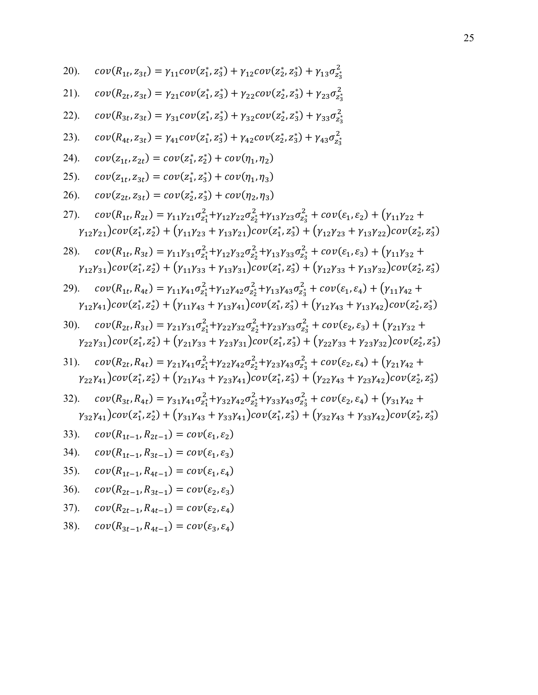20). 
$$
cov(R_{1t}, z_{3t}) = \gamma_{11} cov(z_1^*, z_3^*) + \gamma_{12} cov(z_2^*, z_3^*) + \gamma_{13} \sigma_{z_3^*}^2
$$

21). 
$$
cov(R_{2t}, z_{3t}) = \gamma_{21} cov(z_1^*, z_3^*) + \gamma_{22} cov(z_2^*, z_3^*) + \gamma_{23} \sigma_{z_3}^2
$$

22). 
$$
cov(R_{3t}, z_{3t}) = \gamma_{31}cov(z_1^*, z_3^*) + \gamma_{32}cov(z_2^*, z_3^*) + \gamma_{33}\sigma_{z_3}^2
$$

23). 
$$
cov(R_{4t}, z_{3t}) = \gamma_{41} cov(z_1^*, z_3^*) + \gamma_{42} cov(z_2^*, z_3^*) + \gamma_{43} \sigma_{z_3}^2
$$

24). 
$$
cov(z_{1t}, z_{2t}) = cov(z_1^*, z_2^*) + cov(\eta_1, \eta_2)
$$

25). 
$$
cov(z_{1t}, z_{3t}) = cov(z_1^*, z_3^*) + cov(\eta_1, \eta_3)
$$

26). 
$$
cov(z_{2t}, z_{3t}) = cov(z_2^*, z_3^*) + cov(\eta_2, \eta_3)
$$

27). 
$$
cov(R_{1t}, R_{2t}) = \gamma_{11}\gamma_{21}\sigma_{z_1}^2 + \gamma_{12}\gamma_{22}\sigma_{z_2}^2 + \gamma_{13}\gamma_{23}\sigma_{z_3}^2 + cov(\varepsilon_1, \varepsilon_2) + (\gamma_{11}\gamma_{22} + \gamma_{12}\gamma_{21})cov(z_1^*, z_2^*) + (\gamma_{11}\gamma_{23} + \gamma_{13}\gamma_{21})cov(z_1^*, z_3^*) + (\gamma_{12}\gamma_{23} + \gamma_{13}\gamma_{22})cov(z_2^*, z_3^*)
$$

28). 
$$
cov(R_{1t}, R_{3t}) = \gamma_{11}\gamma_{31}\sigma_{z_1}^2 + \gamma_{12}\gamma_{32}\sigma_{z_2}^2 + \gamma_{13}\gamma_{33}\sigma_{z_3}^2 + cov(\varepsilon_1, \varepsilon_3) + (\gamma_{11}\gamma_{32} + \gamma_{12}\gamma_{31})cov(z_1^*, z_2^*) + (\gamma_{11}\gamma_{33} + \gamma_{13}\gamma_{31})cov(z_1^*, z_3^*) + (\gamma_{12}\gamma_{33} + \gamma_{13}\gamma_{32})cov(z_2^*, z_3^*)
$$

29). 
$$
cov(R_{1t}, R_{4t}) = \gamma_{11}\gamma_{41}\sigma_{z_1}^2 + \gamma_{12}\gamma_{42}\sigma_{z_2}^2 + \gamma_{13}\gamma_{43}\sigma_{z_3}^2 + cov(\varepsilon_1, \varepsilon_4) + (\gamma_{11}\gamma_{42} + \gamma_{12}\gamma_{41})cov(z_1^*, z_2^*) + (\gamma_{11}\gamma_{43} + \gamma_{13}\gamma_{41})cov(z_1^*, z_3^*) + (\gamma_{12}\gamma_{43} + \gamma_{13}\gamma_{42})cov(z_2^*, z_3^*)
$$

30). 
$$
cov(R_{2t}, R_{3t}) = \gamma_{21}\gamma_{31}\sigma_{z_1}^2 + \gamma_{22}\gamma_{32}\sigma_{z_2}^2 + \gamma_{23}\gamma_{33}\sigma_{z_3}^2 + cov(\varepsilon_2, \varepsilon_3) + (\gamma_{21}\gamma_{32} + \gamma_{22}\gamma_{31})cov(z_1^*, z_2^*) + (\gamma_{21}\gamma_{33} + \gamma_{23}\gamma_{31})cov(z_1^*, z_3^*) + (\gamma_{22}\gamma_{33} + \gamma_{23}\gamma_{32})cov(z_2^*, z_3^*)
$$

31). 
$$
cov(R_{2t}, R_{4t}) = \gamma_{21}\gamma_{41}\sigma_{z_1}^2 + \gamma_{22}\gamma_{42}\sigma_{z_2}^2 + \gamma_{23}\gamma_{43}\sigma_{z_3}^2 + cov(\varepsilon_2, \varepsilon_4) + (\gamma_{21}\gamma_{42} + \gamma_{22}\gamma_{41})cov(z_1^*, z_2^*) + (\gamma_{21}\gamma_{43} + \gamma_{23}\gamma_{41})cov(z_1^*, z_3^*) + (\gamma_{22}\gamma_{43} + \gamma_{23}\gamma_{42})cov(z_2^*, z_3^*)
$$

32). 
$$
cov(R_{3t}, R_{4t}) = \gamma_{31}\gamma_{41}\sigma_{z_1}^2 + \gamma_{32}\gamma_{42}\sigma_{z_2}^2 + \gamma_{33}\gamma_{43}\sigma_{z_3}^2 + cov(\varepsilon_2, \varepsilon_4) + (\gamma_{31}\gamma_{42} + \gamma_{32}\gamma_{41})cov(z_1^*, z_2^*) + (\gamma_{31}\gamma_{43} + \gamma_{33}\gamma_{41})cov(z_1^*, z_3^*) + (\gamma_{32}\gamma_{43} + \gamma_{33}\gamma_{42})cov(z_2^*, z_3^*)
$$

33). 
$$
cov(R_{1t-1}, R_{2t-1}) = cov(\varepsilon_1, \varepsilon_2)
$$

$$
34). \quad cov(R_{1t-1}, R_{3t-1}) = cov(\varepsilon_1, \varepsilon_3)
$$

$$
35). \quad cov(R_{1t-1}, R_{4t-1}) = cov(\varepsilon_1, \varepsilon_4)
$$

$$
36. \quad cov(R_{2t-1}, R_{3t-1}) = cov(\varepsilon_2, \varepsilon_3)
$$

$$
37). \quad cov(R_{2t-1}, R_{4t-1}) = cov(\varepsilon_2, \varepsilon_4)
$$

38). 
$$
cov(R_{3t-1}, R_{4t-1}) = cov(\varepsilon_3, \varepsilon_4)
$$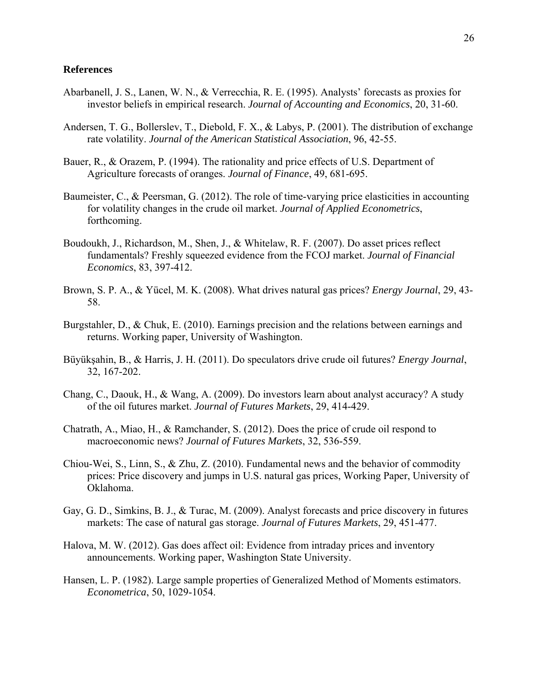## **References**

- Abarbanell, J. S., Lanen, W. N., & Verrecchia, R. E. (1995). Analysts' forecasts as proxies for investor beliefs in empirical research. *Journal of Accounting and Economics*, 20, 31-60.
- Andersen, T. G., Bollerslev, T., Diebold, F. X., & Labys, P. (2001). The distribution of exchange rate volatility. *Journal of the American Statistical Association*, 96, 42-55.
- Bauer, R., & Orazem, P. (1994). The rationality and price effects of U.S. Department of Agriculture forecasts of oranges. *Journal of Finance*, 49, 681-695.
- Baumeister, C., & Peersman, G. (2012). The role of time-varying price elasticities in accounting for volatility changes in the crude oil market. *Journal of Applied Econometrics*, forthcoming.
- Boudoukh, J., Richardson, M., Shen, J., & Whitelaw, R. F. (2007). Do asset prices reflect fundamentals? Freshly squeezed evidence from the FCOJ market. *Journal of Financial Economics*, 83, 397-412.
- Brown, S. P. A., & Yücel, M. K. (2008). What drives natural gas prices? *Energy Journal*, 29, 43- 58.
- Burgstahler, D., & Chuk, E. (2010). Earnings precision and the relations between earnings and returns. Working paper, University of Washington.
- Büyükşahin, B., & Harris, J. H. (2011). Do speculators drive crude oil futures? *Energy Journal*, 32, 167-202.
- Chang, C., Daouk, H., & Wang, A. (2009). Do investors learn about analyst accuracy? A study of the oil futures market. *Journal of Futures Markets*, 29, 414-429.
- Chatrath, A., Miao, H., & Ramchander, S. (2012). Does the price of crude oil respond to macroeconomic news? *Journal of Futures Markets*, 32, 536-559.
- Chiou-Wei, S., Linn, S., & Zhu, Z. (2010). Fundamental news and the behavior of commodity prices: Price discovery and jumps in U.S. natural gas prices, Working Paper, University of Oklahoma.
- Gay, G. D., Simkins, B. J., & Turac, M. (2009). Analyst forecasts and price discovery in futures markets: The case of natural gas storage. *Journal of Futures Markets*, 29, 451-477.
- Halova, M. W. (2012). Gas does affect oil: Evidence from intraday prices and inventory announcements. Working paper, Washington State University.
- Hansen, L. P. (1982). Large sample properties of Generalized Method of Moments estimators. *Econometrica*, 50, 1029-1054.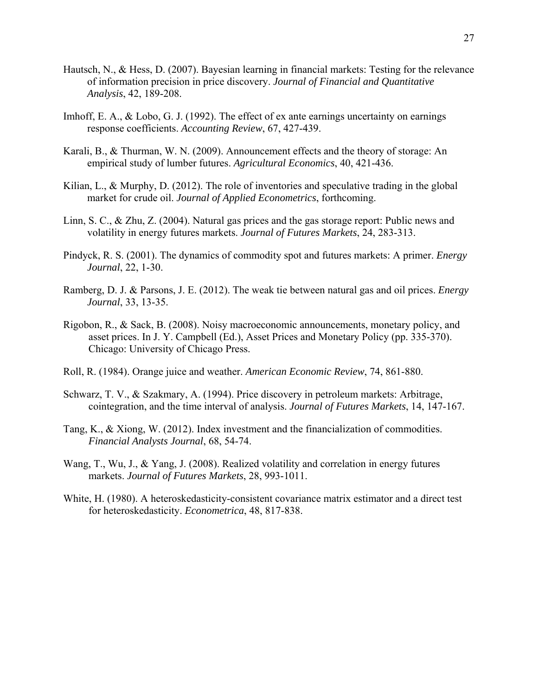- Hautsch, N., & Hess, D. (2007). Bayesian learning in financial markets: Testing for the relevance of information precision in price discovery. *Journal of Financial and Quantitative Analysis*, 42, 189-208.
- Imhoff, E. A., & Lobo, G. J. (1992). The effect of ex ante earnings uncertainty on earnings response coefficients. *Accounting Review*, 67, 427-439.
- Karali, B., & Thurman, W. N. (2009). Announcement effects and the theory of storage: An empirical study of lumber futures. *Agricultural Economics*, 40, 421-436.
- Kilian, L., & Murphy, D. (2012). The role of inventories and speculative trading in the global market for crude oil. *Journal of Applied Econometrics*, forthcoming.
- Linn, S. C., & Zhu, Z. (2004). Natural gas prices and the gas storage report: Public news and volatility in energy futures markets. *Journal of Futures Markets*, 24, 283-313.
- Pindyck, R. S. (2001). The dynamics of commodity spot and futures markets: A primer. *Energy Journal*, 22, 1-30.
- Ramberg, D. J. & Parsons, J. E. (2012). The weak tie between natural gas and oil prices. *Energy Journal*, 33, 13-35.
- Rigobon, R., & Sack, B. (2008). Noisy macroeconomic announcements, monetary policy, and asset prices. In J. Y. Campbell (Ed.), Asset Prices and Monetary Policy (pp. 335-370). Chicago: University of Chicago Press.
- Roll, R. (1984). Orange juice and weather. *American Economic Review*, 74, 861-880.
- Schwarz, T. V., & Szakmary, A. (1994). Price discovery in petroleum markets: Arbitrage, cointegration, and the time interval of analysis. *Journal of Futures Markets*, 14, 147-167.
- Tang, K., & Xiong, W. (2012). Index investment and the financialization of commodities. *Financial Analysts Journal*, 68, 54-74.
- Wang, T., Wu, J., & Yang, J. (2008). Realized volatility and correlation in energy futures markets. *Journal of Futures Markets*, 28, 993-1011.
- White, H. (1980). A heteroskedasticity-consistent covariance matrix estimator and a direct test for heteroskedasticity. *Econometrica*, 48, 817-838.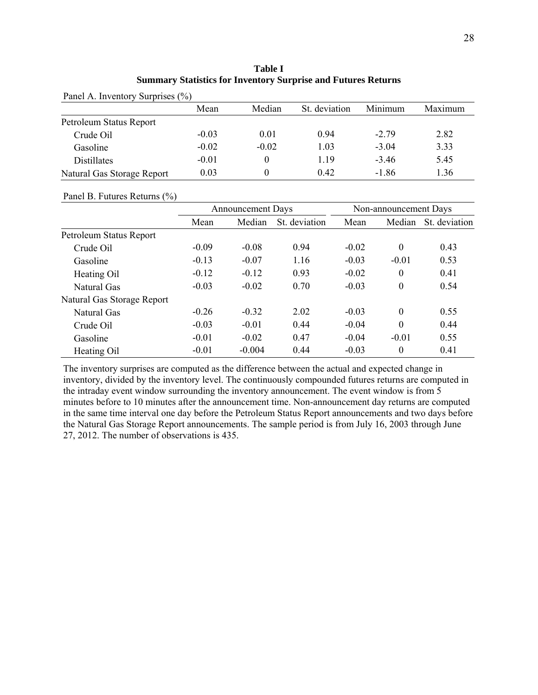| i<br>×<br>٧ |
|-------------|

| Table I                                                              |  |  |  |  |  |  |  |  |
|----------------------------------------------------------------------|--|--|--|--|--|--|--|--|
| <b>Summary Statistics for Inventory Surprise and Futures Returns</b> |  |  |  |  |  |  |  |  |

| Panel A. Inventory Surprises (%) |         |          |               |         |         |  |  |  |  |
|----------------------------------|---------|----------|---------------|---------|---------|--|--|--|--|
|                                  | Mean    | Median   | St. deviation | Minimum | Maximum |  |  |  |  |
| Petroleum Status Report          |         |          |               |         |         |  |  |  |  |
| Crude Oil                        | $-0.03$ | 0.01     | 0.94          | $-279$  | 2.82    |  |  |  |  |
| Gasoline                         | $-0.02$ | $-0.02$  | 1.03          | $-3.04$ | 3.33    |  |  |  |  |
| <b>Distillates</b>               | $-0.01$ | 0        | 1.19          | $-3.46$ | 5.45    |  |  |  |  |
| Natural Gas Storage Report       | 0.03    | $\theta$ | 0.42          | $-1.86$ | 1.36    |  |  |  |  |

## Panel B. Futures Returns (%)

|                            |         | Announcement Days |               |         | Non-announcement Days |               |
|----------------------------|---------|-------------------|---------------|---------|-----------------------|---------------|
|                            | Mean    | Median            | St. deviation | Mean    | Median                | St. deviation |
| Petroleum Status Report    |         |                   |               |         |                       |               |
| Crude Oil                  | $-0.09$ | $-0.08$           | 0.94          | $-0.02$ | $\theta$              | 0.43          |
| Gasoline                   | $-0.13$ | $-0.07$           | 1.16          | $-0.03$ | $-0.01$               | 0.53          |
| Heating Oil                | $-0.12$ | $-0.12$           | 0.93          | $-0.02$ | $\theta$              | 0.41          |
| Natural Gas                | $-0.03$ | $-0.02$           | 0.70          | $-0.03$ | $\theta$              | 0.54          |
| Natural Gas Storage Report |         |                   |               |         |                       |               |
| <b>Natural Gas</b>         | $-0.26$ | $-0.32$           | 2.02          | $-0.03$ | $\Omega$              | 0.55          |
| Crude Oil                  | $-0.03$ | $-0.01$           | 0.44          | $-0.04$ | $\Omega$              | 0.44          |
| Gasoline                   | $-0.01$ | $-0.02$           | 0.47          | $-0.04$ | $-0.01$               | 0.55          |
| Heating Oil                | $-0.01$ | $-0.004$          | 0.44          | $-0.03$ | $\theta$              | 0.41          |

The inventory surprises are computed as the difference between the actual and expected change in inventory, divided by the inventory level. The continuously compounded futures returns are computed in the intraday event window surrounding the inventory announcement. The event window is from 5 minutes before to 10 minutes after the announcement time. Non-announcement day returns are computed in the same time interval one day before the Petroleum Status Report announcements and two days before the Natural Gas Storage Report announcements. The sample period is from July 16, 2003 through June 27, 2012. The number of observations is 435.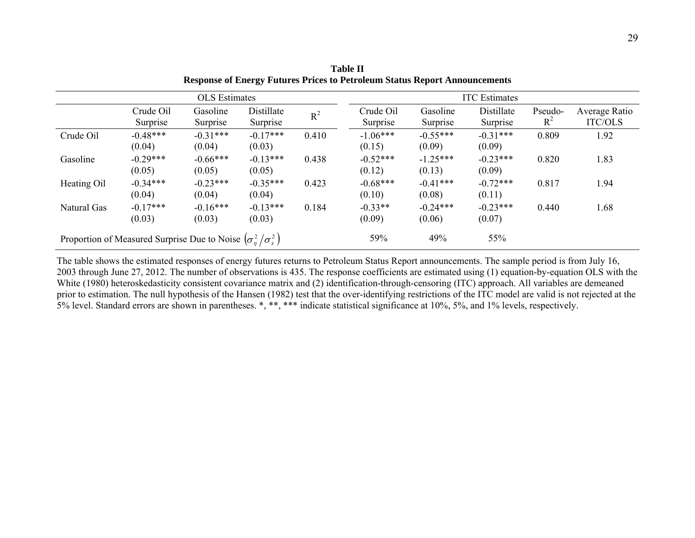|             | <b>OLS</b> Estimates                                                   |                      |                        |       | <b>ITC</b> Estimates  |                      |                        |                  |                                 |
|-------------|------------------------------------------------------------------------|----------------------|------------------------|-------|-----------------------|----------------------|------------------------|------------------|---------------------------------|
|             | Crude Oil<br>Surprise                                                  | Gasoline<br>Surprise | Distillate<br>Surprise | $R^2$ | Crude Oil<br>Surprise | Gasoline<br>Surprise | Distillate<br>Surprise | Pseudo-<br>$R^2$ | Average Ratio<br><b>ITC/OLS</b> |
| Crude Oil   | $-0.48***$<br>(0.04)                                                   | $-0.31***$<br>(0.04) | $-0.17***$<br>(0.03)   | 0.410 | $-1.06***$<br>(0.15)  | $-0.55***$<br>(0.09) | $-0.31***$<br>(0.09)   | 0.809            | 1.92                            |
| Gasoline    | $-0.29***$<br>(0.05)                                                   | $-0.66***$<br>(0.05) | $-0.13***$<br>(0.05)   | 0.438 | $-0.52***$<br>(0.12)  | $-1.25***$<br>(0.13) | $-0.23***$<br>(0.09)   | 0.820            | 1.83                            |
| Heating Oil | $-0.34***$<br>(0.04)                                                   | $-0.23***$<br>(0.04) | $-0.35***$<br>(0.04)   | 0.423 | $-0.68***$<br>(0.10)  | $-0.41***$<br>(0.08) | $-0.72***$<br>(0.11)   | 0.817            | 1.94                            |
| Natural Gas | $-0.17***$<br>(0.03)                                                   | $-0.16***$<br>(0.03) | $-0.13***$<br>(0.03)   | 0.184 | $-0.33**$<br>(0.09)   | $-0.24***$<br>(0.06) | $-0.23***$<br>(0.07)   | 0.440            | 1.68                            |
|             | Proportion of Measured Surprise Due to Noise $(\sigma_n^2/\sigma_1^2)$ |                      |                        |       |                       | 49%                  | 55%                    |                  |                                 |

**Table II Response of Energy Futures Prices to Petroleum Status Report Announcements** 

The table shows the estimated responses of energy futures returns to Petroleum Status Report announcements. The sample period is from July 16, 2003 through June 27, 2012. The number of observations is 435. The response coefficients are estimated using (1) equation-by-equation OLS with the White (1980) heteroskedasticity consistent covariance matrix and (2) identification-through-censoring (ITC) approach. All variables are demeaned prior to estimation. The null hypothesis of the Hansen (1982) test that the over-identifying restrictions of the ITC model are valid is not rejected at the 5% level. Standard errors are shown in parentheses. \*, \*\*, \*\*\* indicate statistical significance at 10%, 5%, and 1% levels, respectively.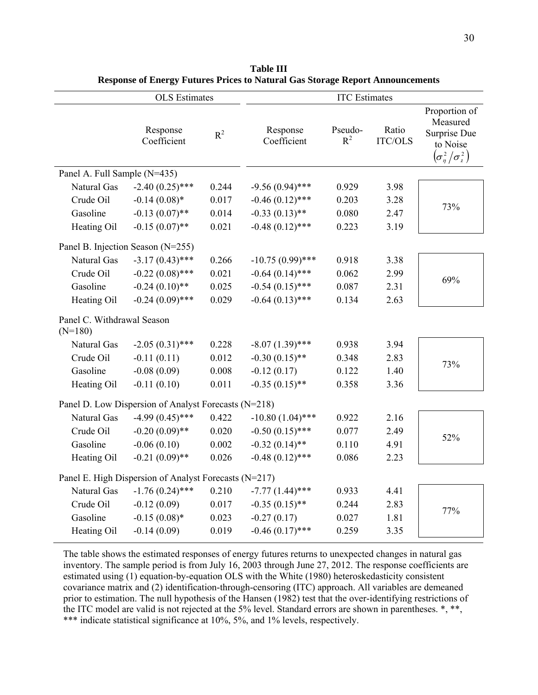|                                         | <b>OLS</b> Estimates                                  |       |                         | <b>ITC</b> Estimates |                         |                                                                                                                                                                                 |  |  |
|-----------------------------------------|-------------------------------------------------------|-------|-------------------------|----------------------|-------------------------|---------------------------------------------------------------------------------------------------------------------------------------------------------------------------------|--|--|
|                                         | Response<br>Coefficient                               | $R^2$ | Response<br>Coefficient | Pseudo-<br>$R^2$     | Ratio<br><b>ITC/OLS</b> | Proportion of<br>Measured<br>Surprise Due<br>to Noise<br>$\left(\!\sigma_{\eta}^{\scriptscriptstyle 2}\big/\sigma_{\scriptscriptstyle \varsigma}^{\scriptscriptstyle 2}\right)$ |  |  |
| Panel A. Full Sample (N=435)            |                                                       |       |                         |                      |                         |                                                                                                                                                                                 |  |  |
| Natural Gas                             | $-2.40(0.25)$ ***                                     | 0.244 | $-9.56(0.94)$ ***       | 0.929                | 3.98                    |                                                                                                                                                                                 |  |  |
| Crude Oil                               | $-0.14(0.08)*$                                        | 0.017 | $-0.46(0.12)$ ***       | 0.203                | 3.28                    | 73%                                                                                                                                                                             |  |  |
| Gasoline                                | $-0.13(0.07)$ **                                      | 0.014 | $-0.33(0.13)$ **        | 0.080                | 2.47                    |                                                                                                                                                                                 |  |  |
| Heating Oil                             | $-0.15(0.07)$ **                                      | 0.021 | $-0.48(0.12)$ ***       | 0.223                | 3.19                    |                                                                                                                                                                                 |  |  |
|                                         | Panel B. Injection Season (N=255)                     |       |                         |                      |                         |                                                                                                                                                                                 |  |  |
| Natural Gas                             | $-3.17(0.43)$ ***                                     | 0.266 | $-10.75(0.99)$ ***      | 0.918                | 3.38                    |                                                                                                                                                                                 |  |  |
| Crude Oil                               | $-0.22(0.08)$ ***                                     | 0.021 | $-0.64(0.14)$ ***       | 0.062                | 2.99                    |                                                                                                                                                                                 |  |  |
| Gasoline                                | $-0.24(0.10)$ **                                      | 0.025 | $-0.54(0.15)$ ***       | 0.087                | 2.31                    | 69%                                                                                                                                                                             |  |  |
| Heating Oil                             | $-0.24(0.09)$ ***                                     | 0.029 | $-0.64(0.13)$ ***       | 0.134                | 2.63                    |                                                                                                                                                                                 |  |  |
| Panel C. Withdrawal Season<br>$(N=180)$ |                                                       |       |                         |                      |                         |                                                                                                                                                                                 |  |  |
| <b>Natural Gas</b>                      | $-2.05(0.31)$ ***                                     | 0.228 | $-8.07(1.39)$ ***       | 0.938                | 3.94                    |                                                                                                                                                                                 |  |  |
| Crude Oil                               | $-0.11(0.11)$                                         | 0.012 | $-0.30(0.15)$ **        | 0.348                | 2.83                    |                                                                                                                                                                                 |  |  |
| Gasoline                                | $-0.08(0.09)$                                         | 0.008 | $-0.12(0.17)$           | 0.122                | 1.40                    | 73%                                                                                                                                                                             |  |  |
| Heating Oil                             | $-0.11(0.10)$                                         | 0.011 | $-0.35(0.15)$ **        | 0.358                | 3.36                    |                                                                                                                                                                                 |  |  |
|                                         | Panel D. Low Dispersion of Analyst Forecasts (N=218)  |       |                         |                      |                         |                                                                                                                                                                                 |  |  |
| Natural Gas                             | $-4.99(0.45)$ ***                                     | 0.422 | $-10.80(1.04)$ ***      | 0.922                | 2.16                    |                                                                                                                                                                                 |  |  |
| Crude Oil                               | $-0.20(0.09)$ **                                      | 0.020 | $-0.50(0.15)$ ***       | 0.077                | 2.49                    |                                                                                                                                                                                 |  |  |
| Gasoline                                | $-0.06(0.10)$                                         | 0.002 | $-0.32(0.14)$ **        | 0.110                | 4.91                    | 52%                                                                                                                                                                             |  |  |
| Heating Oil                             | $-0.21(0.09)$ **                                      | 0.026 | $-0.48(0.12)$ ***       | 0.086                | 2.23                    |                                                                                                                                                                                 |  |  |
|                                         | Panel E. High Dispersion of Analyst Forecasts (N=217) |       |                         |                      |                         |                                                                                                                                                                                 |  |  |
| Natural Gas                             | $-1.76(0.24)$ ***                                     | 0.210 | $-7.77(1.44)$ ***       | 0.933                | 4.41                    |                                                                                                                                                                                 |  |  |
| Crude Oil                               | $-0.12(0.09)$                                         | 0.017 | $-0.35(0.15)$ **        | 0.244                | 2.83                    |                                                                                                                                                                                 |  |  |
| Gasoline                                | $-0.15(0.08)$ *                                       | 0.023 | $-0.27(0.17)$           | 0.027                | 1.81                    | 77%                                                                                                                                                                             |  |  |
| Heating Oil                             | $-0.14(0.09)$                                         | 0.019 | $-0.46(0.17)$ ***       | 0.259                | 3.35                    |                                                                                                                                                                                 |  |  |

**Table III Response of Energy Futures Prices to Natural Gas Storage Report Announcements** 

The table shows the estimated responses of energy futures returns to unexpected changes in natural gas inventory. The sample period is from July 16, 2003 through June 27, 2012. The response coefficients are estimated using (1) equation-by-equation OLS with the White (1980) heteroskedasticity consistent covariance matrix and (2) identification-through-censoring (ITC) approach. All variables are demeaned prior to estimation. The null hypothesis of the Hansen (1982) test that the over-identifying restrictions of the ITC model are valid is not rejected at the 5% level. Standard errors are shown in parentheses. \*, \*\*, \*\*\* indicate statistical significance at 10%, 5%, and 1% levels, respectively.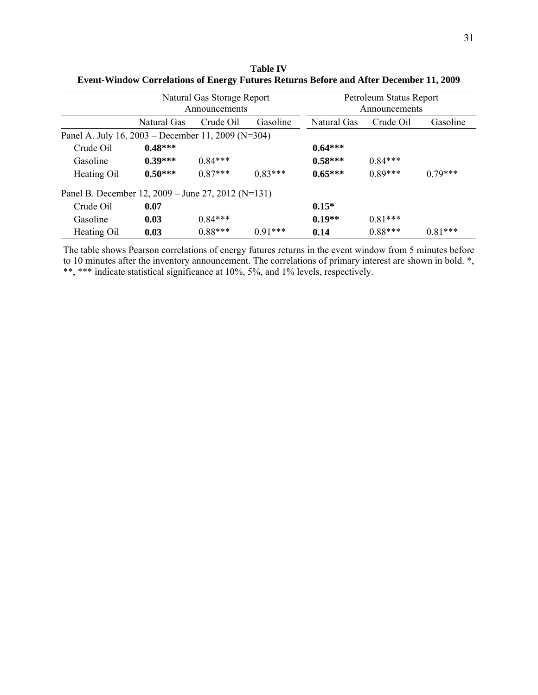|                                                    |             | Natural Gas Storage Report<br>Announcements |           | Petroleum Status Report<br>Announcements |           |           |  |
|----------------------------------------------------|-------------|---------------------------------------------|-----------|------------------------------------------|-----------|-----------|--|
|                                                    | Natural Gas | Crude Oil<br>Gasoline                       |           |                                          | Crude Oil | Gasoline  |  |
| Panel A. July 16, 2003 – December 11, 2009 (N=304) |             |                                             |           |                                          |           |           |  |
| Crude Oil                                          | $0.48***$   |                                             |           | $0.64***$                                |           |           |  |
| Gasoline                                           | $0.39***$   | $0.84***$                                   |           | $0.58***$                                | $0.84***$ |           |  |
| Heating Oil                                        | $0.50***$   | $0.87***$                                   | $0.83***$ | $0.65***$                                | $0.89***$ | $0.79***$ |  |
| Panel B. December 12, 2009 - June 27, 2012 (N=131) |             |                                             |           |                                          |           |           |  |
| Crude Oil                                          | 0.07        |                                             |           | $0.15*$                                  |           |           |  |
| Gasoline                                           | 0.03        | $0.84***$                                   |           | $0.19**$                                 | $0.81***$ |           |  |
| Heating Oil                                        | 0.03        | $0.88***$                                   | $0.91***$ | 0.14                                     | $0.88***$ | $0.81***$ |  |

**Table IV Event-Window Correlations of Energy Futures Returns Before and After December 11, 2009** 

The table shows Pearson correlations of energy futures returns in the event window from 5 minutes before to 10 minutes after the inventory announcement. The correlations of primary interest are shown in bold. \*, \*\*, \*\*\* indicate statistical significance at 10%, 5%, and 1% levels, respectively.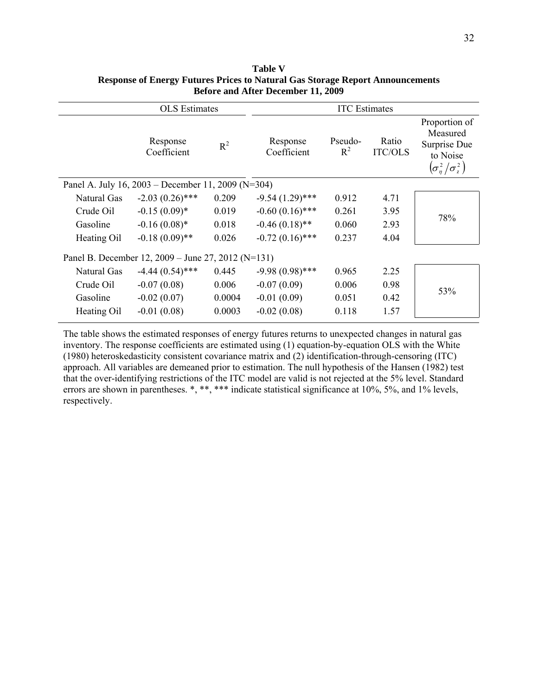|                                                    | <b>OLS</b> Estimates    |        |                         | <b>ITC</b> Estimates |                         |                                                                                                                                                                                                        |
|----------------------------------------------------|-------------------------|--------|-------------------------|----------------------|-------------------------|--------------------------------------------------------------------------------------------------------------------------------------------------------------------------------------------------------|
|                                                    | Response<br>Coefficient | $R^2$  | Response<br>Coefficient | Pseudo-<br>$R^2$     | Ratio<br><b>ITC/OLS</b> | Proportion of<br>Measured<br>Surprise Due<br>to Noise<br>$\left(\!\sigma_{\scriptscriptstyle \eta}^{\scriptscriptstyle 2}\left/\sigma_{\scriptscriptstyle \zeta}^{\scriptscriptstyle 2}\right.\right)$ |
| Panel A. July 16, 2003 – December 11, 2009 (N=304) |                         |        |                         |                      |                         |                                                                                                                                                                                                        |
| Natural Gas                                        | $-2.03(0.26)$ ***       | 0.209  | $-9.54(1.29)$ ***       | 0.912                | 4.71                    |                                                                                                                                                                                                        |
| Crude Oil                                          | $-0.15(0.09)*$          | 0.019  | $-0.60(0.16)$ ***       | 0.261                | 3.95                    | 78%                                                                                                                                                                                                    |
| Gasoline                                           | $-0.16(0.08)$ *         | 0.018  | $-0.46(0.18)$ **        | 0.060                | 2.93                    |                                                                                                                                                                                                        |
| Heating Oil                                        | $-0.18(0.09)$ **        | 0.026  | $-0.72(0.16)$ ***       | 0.237                | 4.04                    |                                                                                                                                                                                                        |
| Panel B. December 12, 2009 – June 27, 2012 (N=131) |                         |        |                         |                      |                         |                                                                                                                                                                                                        |
| Natural Gas                                        | $-4.44(0.54)$ ***       | 0.445  | $-9.98(0.98)$ ***       | 0.965                | 2.25                    |                                                                                                                                                                                                        |
| Crude Oil                                          | $-0.07(0.08)$           | 0.006  | $-0.07(0.09)$           | 0.006                | 0.98                    | 53%                                                                                                                                                                                                    |
| Gasoline                                           | $-0.02(0.07)$           | 0.0004 | $-0.01(0.09)$           | 0.051                | 0.42                    |                                                                                                                                                                                                        |
| Heating Oil                                        | $-0.01(0.08)$           | 0.0003 | $-0.02(0.08)$           | 0.118                | 1.57                    |                                                                                                                                                                                                        |

**Table V Response of Energy Futures Prices to Natural Gas Storage Report Announcements Before and After December 11, 2009** 

The table shows the estimated responses of energy futures returns to unexpected changes in natural gas inventory. The response coefficients are estimated using (1) equation-by-equation OLS with the White (1980) heteroskedasticity consistent covariance matrix and (2) identification-through-censoring (ITC) approach. All variables are demeaned prior to estimation. The null hypothesis of the Hansen (1982) test that the over-identifying restrictions of the ITC model are valid is not rejected at the 5% level. Standard errors are shown in parentheses. \*, \*\*, \*\*\* indicate statistical significance at 10%, 5%, and 1% levels, respectively.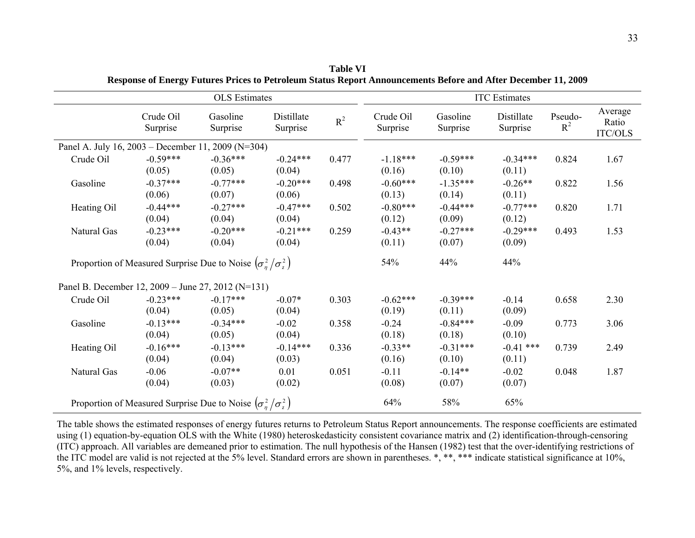|                                                    |                                                                        | <b>OLS</b> Estimates |                        |       | <b>ITC</b> Estimates  |                      |                        |                  |                             |
|----------------------------------------------------|------------------------------------------------------------------------|----------------------|------------------------|-------|-----------------------|----------------------|------------------------|------------------|-----------------------------|
|                                                    | Crude Oil<br>Surprise                                                  | Gasoline<br>Surprise | Distillate<br>Surprise | $R^2$ | Crude Oil<br>Surprise | Gasoline<br>Surprise | Distillate<br>Surprise | Pseudo-<br>$R^2$ | Average<br>Ratio<br>ITC/OLS |
| Panel A. July 16, 2003 – December 11, 2009 (N=304) |                                                                        |                      |                        |       |                       |                      |                        |                  |                             |
| Crude Oil                                          | $-0.59***$<br>(0.05)                                                   | $-0.36***$<br>(0.05) | $-0.24***$<br>(0.04)   | 0.477 | $-1.18***$<br>(0.16)  | $-0.59***$<br>(0.10) | $-0.34***$<br>(0.11)   | 0.824            | 1.67                        |
| Gasoline                                           | $-0.37***$<br>(0.06)                                                   | $-0.77***$<br>(0.07) | $-0.20***$<br>(0.06)   | 0.498 | $-0.60***$<br>(0.13)  | $-1.35***$<br>(0.14) | $-0.26**$<br>(0.11)    | 0.822            | 1.56                        |
| Heating Oil                                        | $-0.44***$<br>(0.04)                                                   | $-0.27***$<br>(0.04) | $-0.47***$<br>(0.04)   | 0.502 | $-0.80***$<br>(0.12)  | $-0.44***$<br>(0.09) | $-0.77***$<br>(0.12)   | 0.820            | 1.71                        |
| Natural Gas                                        | $-0.23***$<br>(0.04)                                                   | $-0.20***$<br>(0.04) | $-0.21***$<br>(0.04)   | 0.259 | $-0.43**$<br>(0.11)   | $-0.27***$<br>(0.07) | $-0.29***$<br>(0.09)   | 0.493            | 1.53                        |
|                                                    | Proportion of Measured Surprise Due to Noise $(\sigma_n^2/\sigma_1^2)$ |                      |                        |       | 54%                   | 44%                  | 44%                    |                  |                             |
| Panel B. December 12, 2009 – June 27, 2012 (N=131) |                                                                        |                      |                        |       |                       |                      |                        |                  |                             |
| Crude Oil                                          | $-0.23***$<br>(0.04)                                                   | $-0.17***$<br>(0.05) | $-0.07*$<br>(0.04)     | 0.303 | $-0.62***$<br>(0.19)  | $-0.39***$<br>(0.11) | $-0.14$<br>(0.09)      | 0.658            | 2.30                        |
| Gasoline                                           | $-0.13***$<br>(0.04)                                                   | $-0.34***$<br>(0.05) | $-0.02$<br>(0.04)      | 0.358 | $-0.24$<br>(0.18)     | $-0.84***$<br>(0.18) | $-0.09$<br>(0.10)      | 0.773            | 3.06                        |
| Heating Oil                                        | $-0.16***$<br>(0.04)                                                   | $-0.13***$<br>(0.04) | $-0.14***$<br>(0.03)   | 0.336 | $-0.33**$<br>(0.16)   | $-0.31***$<br>(0.10) | $-0.41$ ***<br>(0.11)  | 0.739            | 2.49                        |
| Natural Gas                                        | $-0.06$<br>(0.04)                                                      | $-0.07**$<br>(0.03)  | 0.01<br>(0.02)         | 0.051 | $-0.11$<br>(0.08)     | $-0.14**$<br>(0.07)  | $-0.02$<br>(0.07)      | 0.048            | 1.87                        |
|                                                    | Proportion of Measured Surprise Due to Noise $(\sigma^2/\sigma^2)$     |                      |                        |       | 64%                   | 58%                  | 65%                    |                  |                             |

**Table VI Response of Energy Futures Prices to Petroleum Status Report Announcements Before and After December 11, 2009** 

The table shows the estimated responses of energy futures returns to Petroleum Status Report announcements. The response coefficients are estimated using (1) equation-by-equation OLS with the White (1980) heteroskedasticity consistent covariance matrix and (2) identification-through-censoring (ITC) approach. All variables are demeaned prior to estimation. The null hypothesis of the Hansen (1982) test that the over-identifying restrictions of the ITC model are valid is not rejected at the 5% level. Standard errors are shown in parentheses. \*, \*\*\* indicate statistical significance at 10%, 5%, and 1% levels, respectively.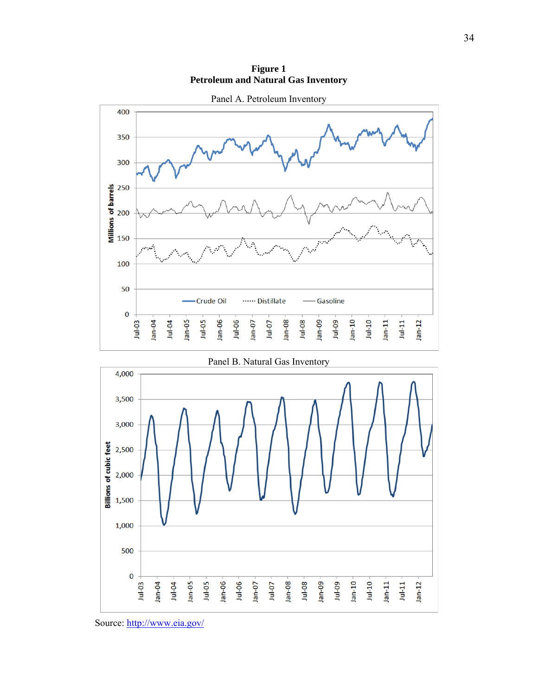**Figure 1 Petroleum and Natural Gas Inventory**





Panel B. Natural Gas Inventory

Source: http://www.eia.gov/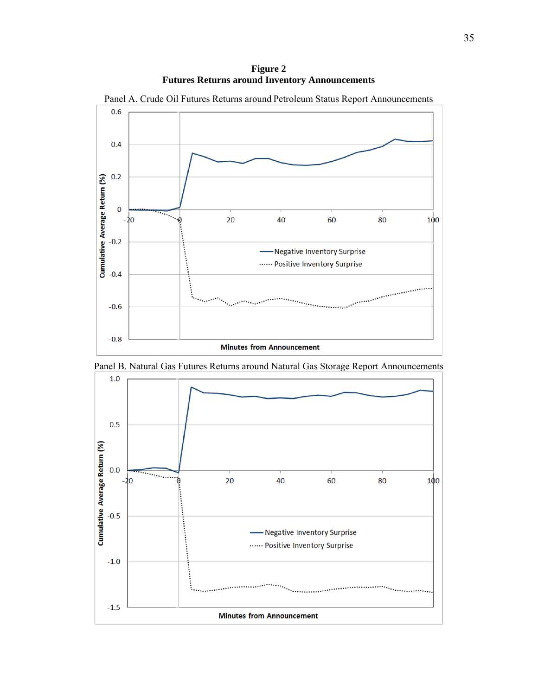**Figure 2 Futures Returns around Inventory Announcements**



Panel B. Natural Gas Futures Returns around Natural Gas Storage Report Announcements

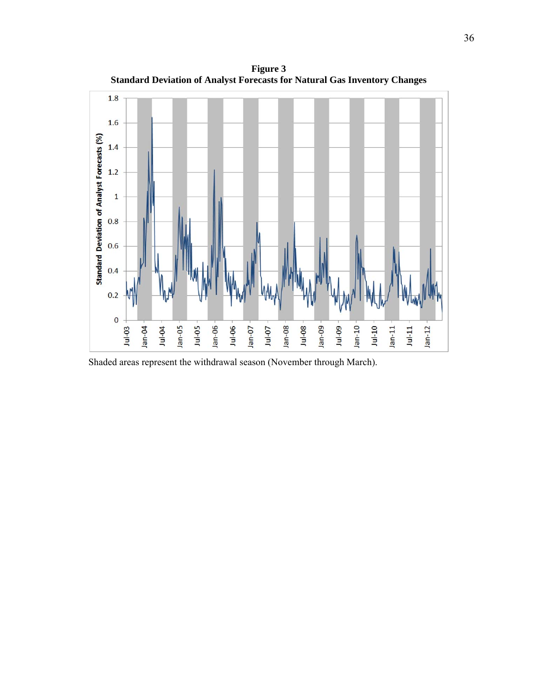

**Figure 3 Standard Deviation of Analyst Forecasts for Natural Gas Inventory Changes**

Shaded areas represent the withdrawal season (November through March).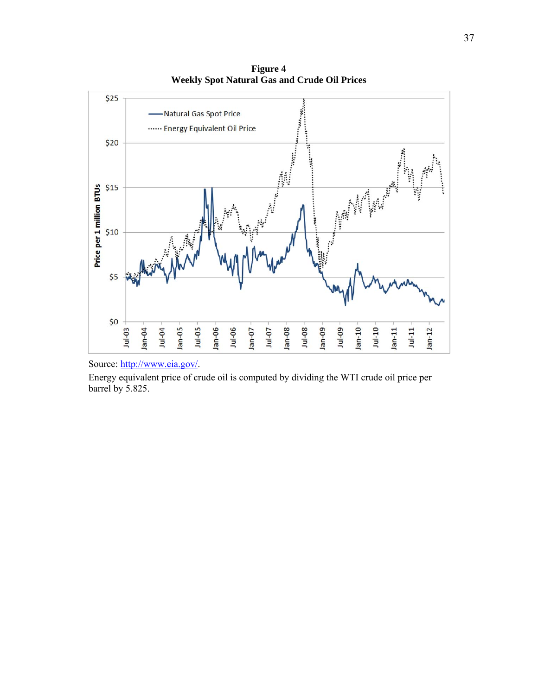**Figure 4 Weekly Spot Natural Gas and Crude Oil Prices**



Source: http://www.eia.gov/.

Energy equivalent price of crude oil is computed by dividing the WTI crude oil price per barrel by 5.825.